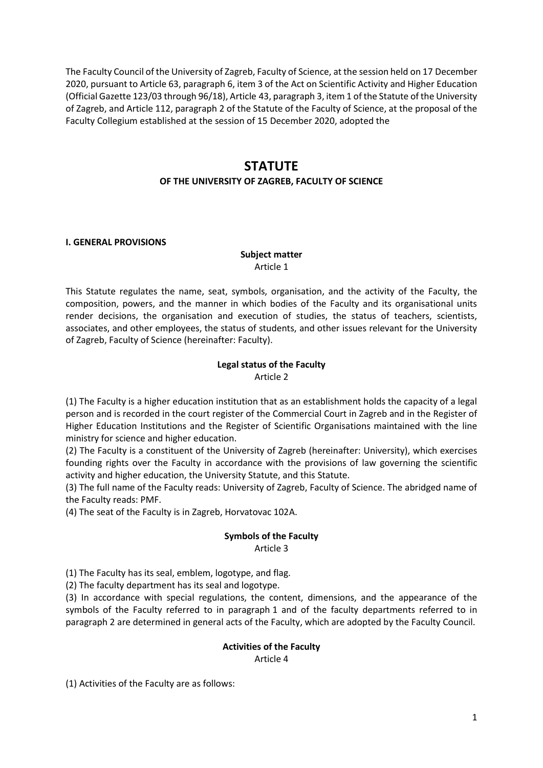The Faculty Council of the University of Zagreb, Faculty of Science, at the session held on 17 December 2020, pursuant to Article 63, paragraph 6, item 3 of the Act on Scientific Activity and Higher Education (Official Gazette 123/03 through 96/18), Article 43, paragraph 3, item 1 of the Statute of the University of Zagreb, and Article 112, paragraph 2 of the Statute of the Faculty of Science, at the proposal of the Faculty Collegium established at the session of 15 December 2020, adopted the

## **STATUTE**

## **OF THE UNIVERSITY OF ZAGREB, FACULTY OF SCIENCE**

#### **I. GENERAL PROVISIONS**

#### **Subject matter** Article 1

This Statute regulates the name, seat, symbols, organisation, and the activity of the Faculty, the composition, powers, and the manner in which bodies of the Faculty and its organisational units render decisions, the organisation and execution of studies, the status of teachers, scientists, associates, and other employees, the status of students, and other issues relevant for the University of Zagreb, Faculty of Science (hereinafter: Faculty).

## **Legal status of the Faculty**

Article 2

(1) The Faculty is a higher education institution that as an establishment holds the capacity of a legal person and is recorded in the court register of the Commercial Court in Zagreb and in the Register of Higher Education Institutions and the Register of Scientific Organisations maintained with the line ministry for science and higher education.

(2) The Faculty is a constituent of the University of Zagreb (hereinafter: University), which exercises founding rights over the Faculty in accordance with the provisions of law governing the scientific activity and higher education, the University Statute, and this Statute.

(3) The full name of the Faculty reads: University of Zagreb, Faculty of Science. The abridged name of the Faculty reads: PMF.

(4) The seat of the Faculty is in Zagreb, Horvatovac 102A.

## **Symbols of the Faculty**

Article 3

(1) The Faculty has its seal, emblem, logotype, and flag.

(2) The faculty department has its seal and logotype.

(3) In accordance with special regulations, the content, dimensions, and the appearance of the symbols of the Faculty referred to in paragraph 1 and of the faculty departments referred to in paragraph 2 are determined in general acts of the Faculty, which are adopted by the Faculty Council.

## **Activities of the Faculty**

Article 4

(1) Activities of the Faculty are as follows: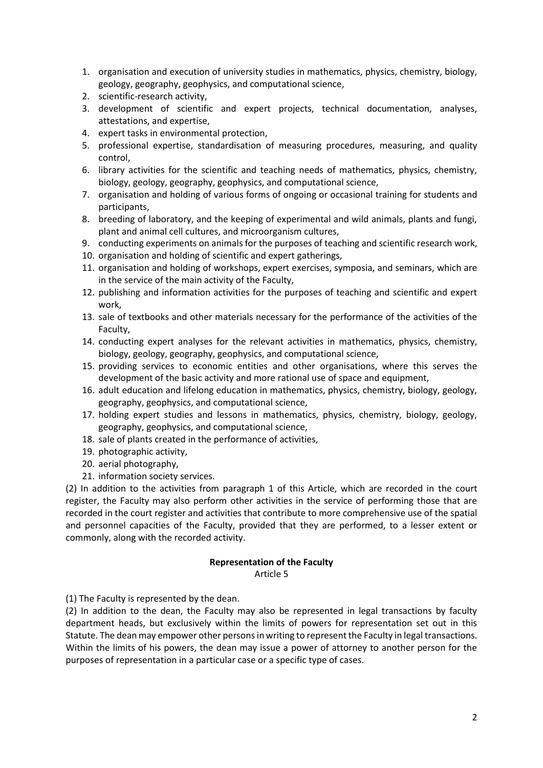- 1. organisation and execution of university studies in mathematics, physics, chemistry, biology, geology, geography, geophysics, and computational science,
- 2. scientific-research activity,
- 3. development of scientific and expert projects, technical documentation, analyses, attestations, and expertise,
- 4. expert tasks in environmental protection,
- 5. professional expertise, standardisation of measuring procedures, measuring, and quality control,
- 6. library activities for the scientific and teaching needs of mathematics, physics, chemistry, biology, geology, geography, geophysics, and computational science,
- 7. organisation and holding of various forms of ongoing or occasional training for students and participants,
- 8. breeding of laboratory, and the keeping of experimental and wild animals, plants and fungi, plant and animal cell cultures, and microorganism cultures,
- 9. conducting experiments on animals for the purposes of teaching and scientific research work,
- 10. organisation and holding of scientific and expert gatherings,
- 11. organisation and holding of workshops, expert exercises, symposia, and seminars, which are in the service of the main activity of the Faculty,
- 12. publishing and information activities for the purposes of teaching and scientific and expert work,
- 13. sale of textbooks and other materials necessary for the performance of the activities of the Faculty,
- 14. conducting expert analyses for the relevant activities in mathematics, physics, chemistry, biology, geology, geography, geophysics, and computational science,
- 15. providing services to economic entities and other organisations, where this serves the development of the basic activity and more rational use of space and equipment,
- 16. adult education and lifelong education in mathematics, physics, chemistry, biology, geology, geography, geophysics, and computational science,
- 17. holding expert studies and lessons in mathematics, physics, chemistry, biology, geology, geography, geophysics, and computational science,
- 18. sale of plants created in the performance of activities,
- 19. photographic activity,
- 20. aerial photography,
- 21. information society services.

(2) In addition to the activities from paragraph 1 of this Article, which are recorded in the court register, the Faculty may also perform other activities in the service of performing those that are recorded in the court register and activities that contribute to more comprehensive use of the spatial and personnel capacities of the Faculty, provided that they are performed, to a lesser extent or commonly, along with the recorded activity.

#### **Representation of the Faculty** Article 5

(1) The Faculty is represented by the dean.

(2) In addition to the dean, the Faculty may also be represented in legal transactions by faculty department heads, but exclusively within the limits of powers for representation set out in this Statute. The dean may empower other persons in writing to represent the Faculty in legal transactions. Within the limits of his powers, the dean may issue a power of attorney to another person for the purposes of representation in a particular case or a specific type of cases.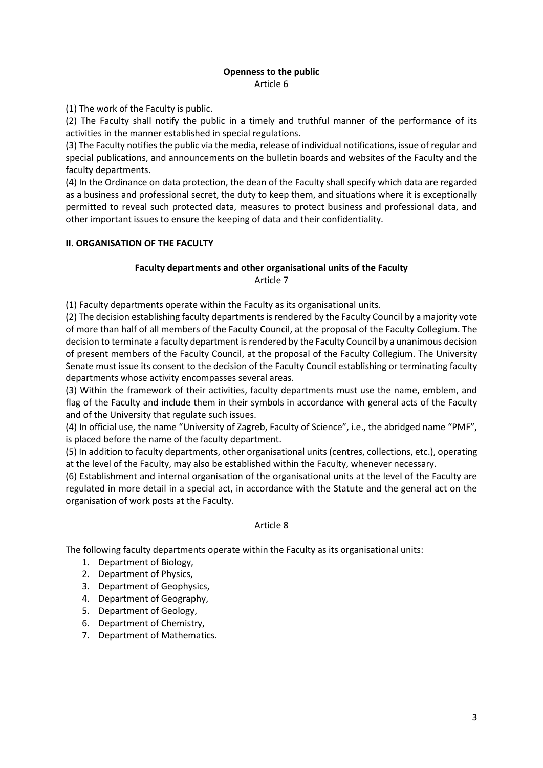### **Openness to the public** Article 6

(1) The work of the Faculty is public.

(2) The Faculty shall notify the public in a timely and truthful manner of the performance of its activities in the manner established in special regulations.

(3) The Faculty notifies the public via the media, release of individual notifications, issue of regular and special publications, and announcements on the bulletin boards and websites of the Faculty and the faculty departments.

(4) In the Ordinance on data protection, the dean of the Faculty shall specify which data are regarded as a business and professional secret, the duty to keep them, and situations where it is exceptionally permitted to reveal such protected data, measures to protect business and professional data, and other important issues to ensure the keeping of data and their confidentiality.

## **II. ORGANISATION OF THE FACULTY**

#### **Faculty departments and other organisational units of the Faculty** Article 7

(1) Faculty departments operate within the Faculty as its organisational units.

(2) The decision establishing faculty departments is rendered by the Faculty Council by a majority vote of more than half of all members of the Faculty Council, at the proposal of the Faculty Collegium. The decision to terminate a faculty department is rendered by the Faculty Council by a unanimous decision of present members of the Faculty Council, at the proposal of the Faculty Collegium. The University Senate must issue its consent to the decision of the Faculty Council establishing or terminating faculty departments whose activity encompasses several areas.

(3) Within the framework of their activities, faculty departments must use the name, emblem, and flag of the Faculty and include them in their symbols in accordance with general acts of the Faculty and of the University that regulate such issues.

(4) In official use, the name "University of Zagreb, Faculty of Science", i.e., the abridged name "PMF", is placed before the name of the faculty department.

(5) In addition to faculty departments, other organisational units (centres, collections, etc.), operating at the level of the Faculty, may also be established within the Faculty, whenever necessary.

(6) Establishment and internal organisation of the organisational units at the level of the Faculty are regulated in more detail in a special act, in accordance with the Statute and the general act on the organisation of work posts at the Faculty.

## Article 8

The following faculty departments operate within the Faculty as its organisational units:

- 1. Department of Biology,
- 2. Department of Physics,
- 3. Department of Geophysics,
- 4. Department of Geography,
- 5. Department of Geology,
- 6. Department of Chemistry,
- 7. Department of Mathematics.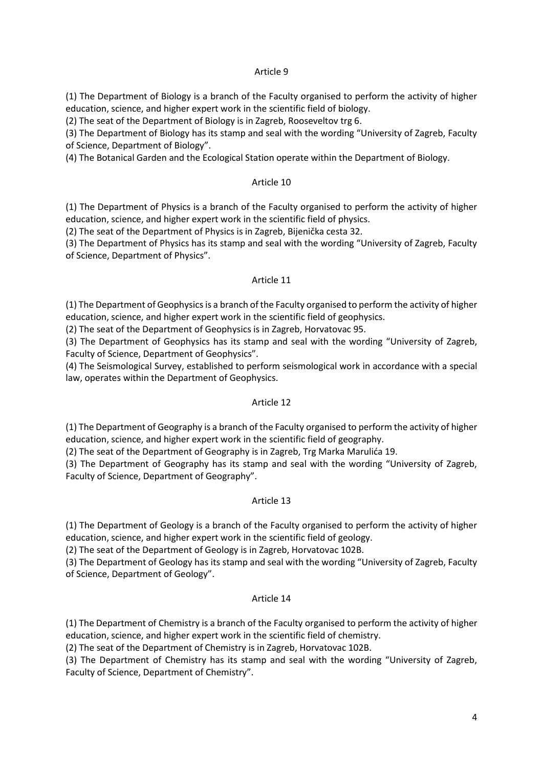(1) The Department of Biology is a branch of the Faculty organised to perform the activity of higher education, science, and higher expert work in the scientific field of biology.

(2) The seat of the Department of Biology is in Zagreb, Rooseveltov trg 6.

(3) The Department of Biology has its stamp and seal with the wording "University of Zagreb, Faculty of Science, Department of Biology".

(4) The Botanical Garden and the Ecological Station operate within the Department of Biology.

#### Article 10

(1) The Department of Physics is a branch of the Faculty organised to perform the activity of higher education, science, and higher expert work in the scientific field of physics.

(2) The seat of the Department of Physics is in Zagreb, Bijenička cesta 32.

(3) The Department of Physics has its stamp and seal with the wording "University of Zagreb, Faculty of Science, Department of Physics".

#### Article 11

(1) The Department of Geophysics is a branch of the Faculty organised to perform the activity of higher education, science, and higher expert work in the scientific field of geophysics.

(2) The seat of the Department of Geophysics is in Zagreb, Horvatovac 95.

(3) The Department of Geophysics has its stamp and seal with the wording "University of Zagreb, Faculty of Science, Department of Geophysics".

(4) The Seismological Survey, established to perform seismological work in accordance with a special law, operates within the Department of Geophysics.

#### Article 12

(1) The Department of Geography is a branch of the Faculty organised to perform the activity of higher education, science, and higher expert work in the scientific field of geography.

(2) The seat of the Department of Geography is in Zagreb, Trg Marka Marulića 19.

(3) The Department of Geography has its stamp and seal with the wording "University of Zagreb, Faculty of Science, Department of Geography".

#### Article 13

(1) The Department of Geology is a branch of the Faculty organised to perform the activity of higher education, science, and higher expert work in the scientific field of geology.

(2) The seat of the Department of Geology is in Zagreb, Horvatovac 102B.

(3) The Department of Geology has its stamp and seal with the wording "University of Zagreb, Faculty of Science, Department of Geology".

#### Article 14

(1) The Department of Chemistry is a branch of the Faculty organised to perform the activity of higher education, science, and higher expert work in the scientific field of chemistry.

(2) The seat of the Department of Chemistry is in Zagreb, Horvatovac 102B.

(3) The Department of Chemistry has its stamp and seal with the wording "University of Zagreb, Faculty of Science, Department of Chemistry".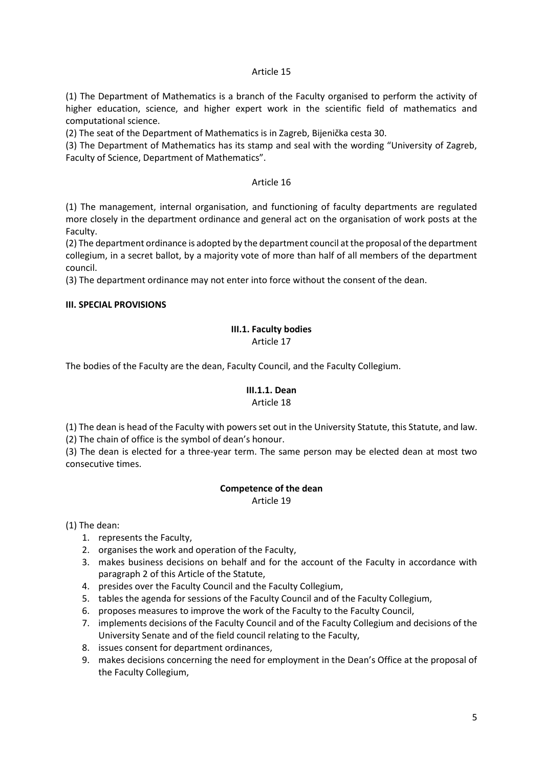(1) The Department of Mathematics is a branch of the Faculty organised to perform the activity of higher education, science, and higher expert work in the scientific field of mathematics and computational science.

(2) The seat of the Department of Mathematics is in Zagreb, Bijenička cesta 30.

(3) The Department of Mathematics has its stamp and seal with the wording "University of Zagreb, Faculty of Science, Department of Mathematics".

#### Article 16

(1) The management, internal organisation, and functioning of faculty departments are regulated more closely in the department ordinance and general act on the organisation of work posts at the Faculty.

(2) The department ordinance is adopted by the department council at the proposal of the department collegium, in a secret ballot, by a majority vote of more than half of all members of the department council.

(3) The department ordinance may not enter into force without the consent of the dean.

#### **III. SPECIAL PROVISIONS**

## **III.1. Faculty bodies**

Article 17

The bodies of the Faculty are the dean, Faculty Council, and the Faculty Collegium.

## **III.1.1. Dean**

Article 18

(1) The dean is head of the Faculty with powers set out in the University Statute, this Statute, and law.

(2) The chain of office is the symbol of dean's honour.

(3) The dean is elected for a three-year term. The same person may be elected dean at most two consecutive times.

## **Competence of the dean**

Article 19

(1) The dean:

- 1. represents the Faculty,
- 2. organises the work and operation of the Faculty,
- 3. makes business decisions on behalf and for the account of the Faculty in accordance with paragraph 2 of this Article of the Statute,
- 4. presides over the Faculty Council and the Faculty Collegium,
- 5. tables the agenda for sessions of the Faculty Council and of the Faculty Collegium,
- 6. proposes measures to improve the work of the Faculty to the Faculty Council,
- 7. implements decisions of the Faculty Council and of the Faculty Collegium and decisions of the University Senate and of the field council relating to the Faculty,
- 8. issues consent for department ordinances,
- 9. makes decisions concerning the need for employment in the Dean's Office at the proposal of the Faculty Collegium,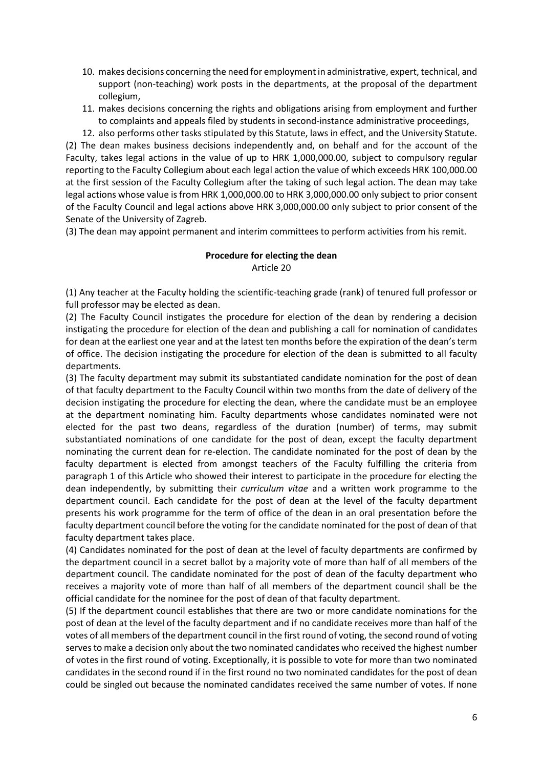- 10. makes decisions concerning the need for employment in administrative, expert, technical, and support (non-teaching) work posts in the departments, at the proposal of the department collegium,
- 11. makes decisions concerning the rights and obligations arising from employment and further to complaints and appeals filed by students in second-instance administrative proceedings,

12. also performs other tasks stipulated by this Statute, laws in effect, and the University Statute. (2) The dean makes business decisions independently and, on behalf and for the account of the Faculty, takes legal actions in the value of up to HRK 1,000,000.00, subject to compulsory regular reporting to the Faculty Collegium about each legal action the value of which exceeds HRK 100,000.00 at the first session of the Faculty Collegium after the taking of such legal action. The dean may take legal actions whose value is from HRK 1,000,000.00 to HRK 3,000,000.00 only subject to prior consent of the Faculty Council and legal actions above HRK 3,000,000.00 only subject to prior consent of the Senate of the University of Zagreb.

(3) The dean may appoint permanent and interim committees to perform activities from his remit.

## **Procedure for electing the dean**

Article 20

(1) Any teacher at the Faculty holding the scientific-teaching grade (rank) of tenured full professor or full professor may be elected as dean.

(2) The Faculty Council instigates the procedure for election of the dean by rendering a decision instigating the procedure for election of the dean and publishing a call for nomination of candidates for dean at the earliest one year and at the latest ten months before the expiration of the dean's term of office. The decision instigating the procedure for election of the dean is submitted to all faculty departments.

(3) The faculty department may submit its substantiated candidate nomination for the post of dean of that faculty department to the Faculty Council within two months from the date of delivery of the decision instigating the procedure for electing the dean, where the candidate must be an employee at the department nominating him. Faculty departments whose candidates nominated were not elected for the past two deans, regardless of the duration (number) of terms, may submit substantiated nominations of one candidate for the post of dean, except the faculty department nominating the current dean for re-election. The candidate nominated for the post of dean by the faculty department is elected from amongst teachers of the Faculty fulfilling the criteria from paragraph 1 of this Article who showed their interest to participate in the procedure for electing the dean independently, by submitting their *curriculum vitae* and a written work programme to the department council. Each candidate for the post of dean at the level of the faculty department presents his work programme for the term of office of the dean in an oral presentation before the faculty department council before the voting for the candidate nominated for the post of dean of that faculty department takes place.

(4) Candidates nominated for the post of dean at the level of faculty departments are confirmed by the department council in a secret ballot by a majority vote of more than half of all members of the department council. The candidate nominated for the post of dean of the faculty department who receives a majority vote of more than half of all members of the department council shall be the official candidate for the nominee for the post of dean of that faculty department.

(5) If the department council establishes that there are two or more candidate nominations for the post of dean at the level of the faculty department and if no candidate receives more than half of the votes of all members of the department council in the first round of voting, the second round of voting serves to make a decision only about the two nominated candidates who received the highest number of votes in the first round of voting. Exceptionally, it is possible to vote for more than two nominated candidates in the second round if in the first round no two nominated candidates for the post of dean could be singled out because the nominated candidates received the same number of votes. If none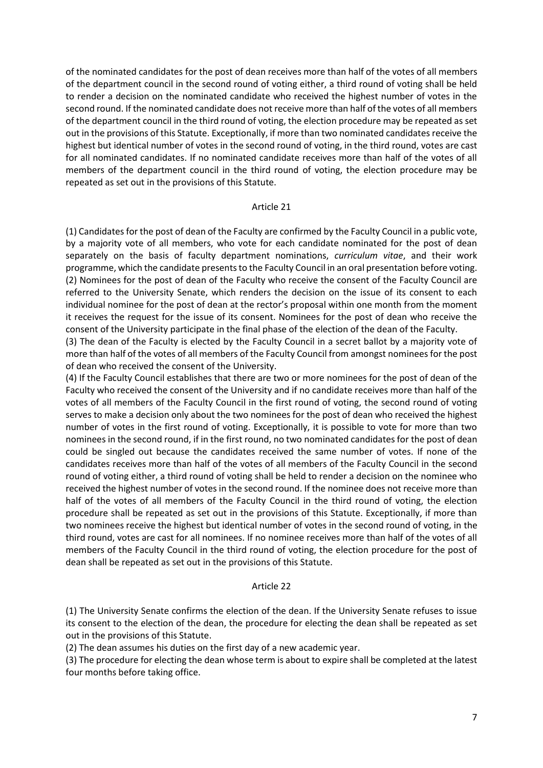of the nominated candidates for the post of dean receives more than half of the votes of all members of the department council in the second round of voting either, a third round of voting shall be held to render a decision on the nominated candidate who received the highest number of votes in the second round. If the nominated candidate does not receive more than half of the votes of all members of the department council in the third round of voting, the election procedure may be repeated as set out in the provisions of this Statute. Exceptionally, if more than two nominated candidates receive the highest but identical number of votes in the second round of voting, in the third round, votes are cast for all nominated candidates. If no nominated candidate receives more than half of the votes of all members of the department council in the third round of voting, the election procedure may be repeated as set out in the provisions of this Statute.

#### Article 21

(1) Candidates for the post of dean of the Faculty are confirmed by the Faculty Council in a public vote, by a majority vote of all members, who vote for each candidate nominated for the post of dean separately on the basis of faculty department nominations, *curriculum vitae*, and their work programme, which the candidate presents to the Faculty Council in an oral presentation before voting. (2) Nominees for the post of dean of the Faculty who receive the consent of the Faculty Council are referred to the University Senate, which renders the decision on the issue of its consent to each individual nominee for the post of dean at the rector's proposal within one month from the moment it receives the request for the issue of its consent. Nominees for the post of dean who receive the consent of the University participate in the final phase of the election of the dean of the Faculty.

(3) The dean of the Faculty is elected by the Faculty Council in a secret ballot by a majority vote of more than half of the votes of all members of the Faculty Council from amongst nominees for the post of dean who received the consent of the University.

(4) If the Faculty Council establishes that there are two or more nominees for the post of dean of the Faculty who received the consent of the University and if no candidate receives more than half of the votes of all members of the Faculty Council in the first round of voting, the second round of voting serves to make a decision only about the two nominees for the post of dean who received the highest number of votes in the first round of voting. Exceptionally, it is possible to vote for more than two nominees in the second round, if in the first round, no two nominated candidates for the post of dean could be singled out because the candidates received the same number of votes. If none of the candidates receives more than half of the votes of all members of the Faculty Council in the second round of voting either, a third round of voting shall be held to render a decision on the nominee who received the highest number of votes in the second round. If the nominee does not receive more than half of the votes of all members of the Faculty Council in the third round of voting, the election procedure shall be repeated as set out in the provisions of this Statute. Exceptionally, if more than two nominees receive the highest but identical number of votes in the second round of voting, in the third round, votes are cast for all nominees. If no nominee receives more than half of the votes of all members of the Faculty Council in the third round of voting, the election procedure for the post of dean shall be repeated as set out in the provisions of this Statute.

#### Article 22

(1) The University Senate confirms the election of the dean. If the University Senate refuses to issue its consent to the election of the dean, the procedure for electing the dean shall be repeated as set out in the provisions of this Statute.

(2) The dean assumes his duties on the first day of a new academic year.

(3) The procedure for electing the dean whose term is about to expire shall be completed at the latest four months before taking office.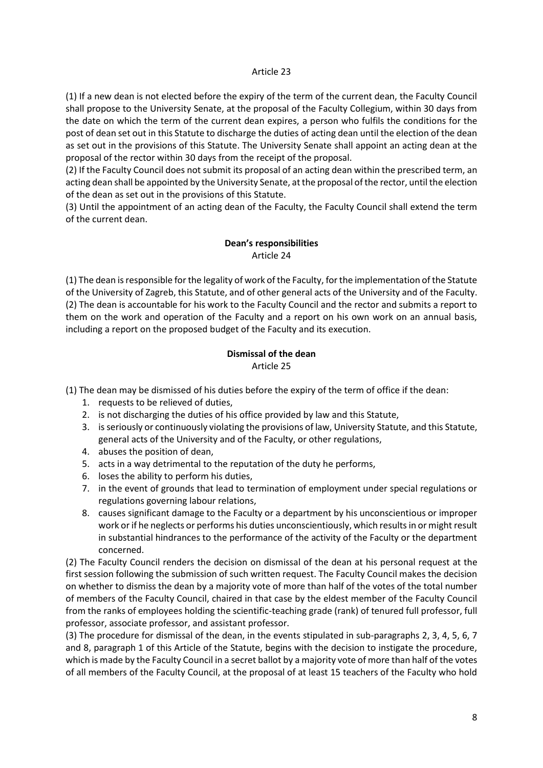(1) If a new dean is not elected before the expiry of the term of the current dean, the Faculty Council shall propose to the University Senate, at the proposal of the Faculty Collegium, within 30 days from the date on which the term of the current dean expires, a person who fulfils the conditions for the post of dean set out in this Statute to discharge the duties of acting dean until the election of the dean as set out in the provisions of this Statute. The University Senate shall appoint an acting dean at the proposal of the rector within 30 days from the receipt of the proposal.

(2) If the Faculty Council does not submit its proposal of an acting dean within the prescribed term, an acting dean shall be appointed by the University Senate, at the proposal of the rector, until the election of the dean as set out in the provisions of this Statute.

(3) Until the appointment of an acting dean of the Faculty, the Faculty Council shall extend the term of the current dean.

## **Dean's responsibilities**

Article 24

(1) The dean is responsible for the legality of work of the Faculty, for the implementation of the Statute of the University of Zagreb, this Statute, and of other general acts of the University and of the Faculty. (2) The dean is accountable for his work to the Faculty Council and the rector and submits a report to them on the work and operation of the Faculty and a report on his own work on an annual basis, including a report on the proposed budget of the Faculty and its execution.

## **Dismissal of the dean**

Article 25

(1) The dean may be dismissed of his duties before the expiry of the term of office if the dean:

- 1. requests to be relieved of duties,
- 2. is not discharging the duties of his office provided by law and this Statute,
- 3. is seriously or continuously violating the provisions of law, University Statute, and this Statute, general acts of the University and of the Faculty, or other regulations,
- 4. abuses the position of dean,
- 5. acts in a way detrimental to the reputation of the duty he performs,
- 6. loses the ability to perform his duties,
- 7. in the event of grounds that lead to termination of employment under special regulations or regulations governing labour relations,
- 8. causes significant damage to the Faculty or a department by his unconscientious or improper work or if he neglects or performs his duties unconscientiously, which results in or might result in substantial hindrances to the performance of the activity of the Faculty or the department concerned.

(2) The Faculty Council renders the decision on dismissal of the dean at his personal request at the first session following the submission of such written request. The Faculty Council makes the decision on whether to dismiss the dean by a majority vote of more than half of the votes of the total number of members of the Faculty Council, chaired in that case by the eldest member of the Faculty Council from the ranks of employees holding the scientific-teaching grade (rank) of tenured full professor, full professor, associate professor, and assistant professor.

(3) The procedure for dismissal of the dean, in the events stipulated in sub-paragraphs 2, 3, 4, 5, 6, 7 and 8, paragraph 1 of this Article of the Statute, begins with the decision to instigate the procedure, which is made by the Faculty Council in a secret ballot by a majority vote of more than half of the votes of all members of the Faculty Council, at the proposal of at least 15 teachers of the Faculty who hold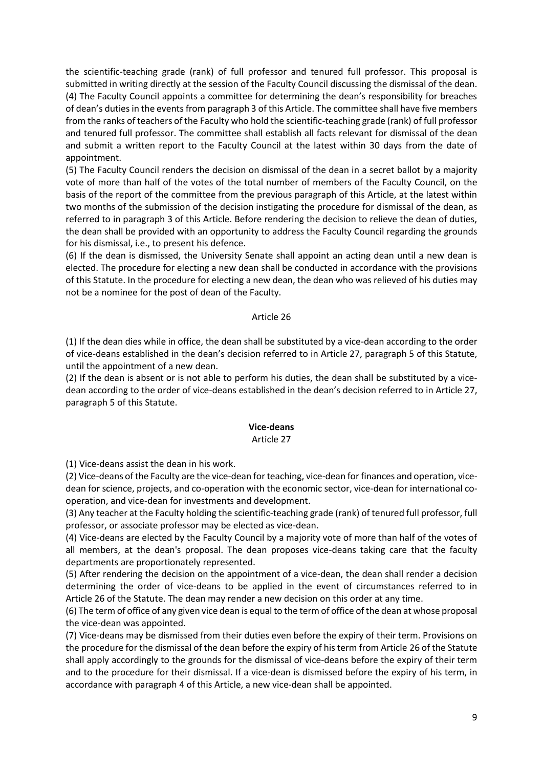the scientific-teaching grade (rank) of full professor and tenured full professor. This proposal is submitted in writing directly at the session of the Faculty Council discussing the dismissal of the dean. (4) The Faculty Council appoints a committee for determining the dean's responsibility for breaches of dean's duties in the events from paragraph 3 of this Article. The committee shall have five members from the ranks of teachers of the Faculty who hold the scientific-teaching grade (rank) of full professor and tenured full professor. The committee shall establish all facts relevant for dismissal of the dean and submit a written report to the Faculty Council at the latest within 30 days from the date of appointment.

(5) The Faculty Council renders the decision on dismissal of the dean in a secret ballot by a majority vote of more than half of the votes of the total number of members of the Faculty Council, on the basis of the report of the committee from the previous paragraph of this Article, at the latest within two months of the submission of the decision instigating the procedure for dismissal of the dean, as referred to in paragraph 3 of this Article. Before rendering the decision to relieve the dean of duties, the dean shall be provided with an opportunity to address the Faculty Council regarding the grounds for his dismissal, i.e., to present his defence.

(6) If the dean is dismissed, the University Senate shall appoint an acting dean until a new dean is elected. The procedure for electing a new dean shall be conducted in accordance with the provisions of this Statute. In the procedure for electing a new dean, the dean who was relieved of his duties may not be a nominee for the post of dean of the Faculty.

#### Article 26

(1) If the dean dies while in office, the dean shall be substituted by a vice-dean according to the order of vice-deans established in the dean's decision referred to in Article 27, paragraph 5 of this Statute, until the appointment of a new dean.

(2) If the dean is absent or is not able to perform his duties, the dean shall be substituted by a vicedean according to the order of vice-deans established in the dean's decision referred to in Article 27, paragraph 5 of this Statute.

#### **Vice-deans**

#### Article 27

(1) Vice-deans assist the dean in his work.

(2) Vice-deans of the Faculty are the vice-dean for teaching, vice-dean for finances and operation, vicedean for science, projects, and co-operation with the economic sector, vice-dean for international cooperation, and vice-dean for investments and development.

(3) Any teacher at the Faculty holding the scientific-teaching grade (rank) of tenured full professor, full professor, or associate professor may be elected as vice-dean.

(4) Vice-deans are elected by the Faculty Council by a majority vote of more than half of the votes of all members, at the dean's proposal. The dean proposes vice-deans taking care that the faculty departments are proportionately represented.

(5) After rendering the decision on the appointment of a vice-dean, the dean shall render a decision determining the order of vice-deans to be applied in the event of circumstances referred to in Article 26 of the Statute. The dean may render a new decision on this order at any time.

(6) The term of office of any given vice dean is equal to the term of office of the dean at whose proposal the vice-dean was appointed.

(7) Vice-deans may be dismissed from their duties even before the expiry of their term. Provisions on the procedure for the dismissal of the dean before the expiry of his term from Article 26 of the Statute shall apply accordingly to the grounds for the dismissal of vice-deans before the expiry of their term and to the procedure for their dismissal. If a vice-dean is dismissed before the expiry of his term, in accordance with paragraph 4 of this Article, a new vice-dean shall be appointed.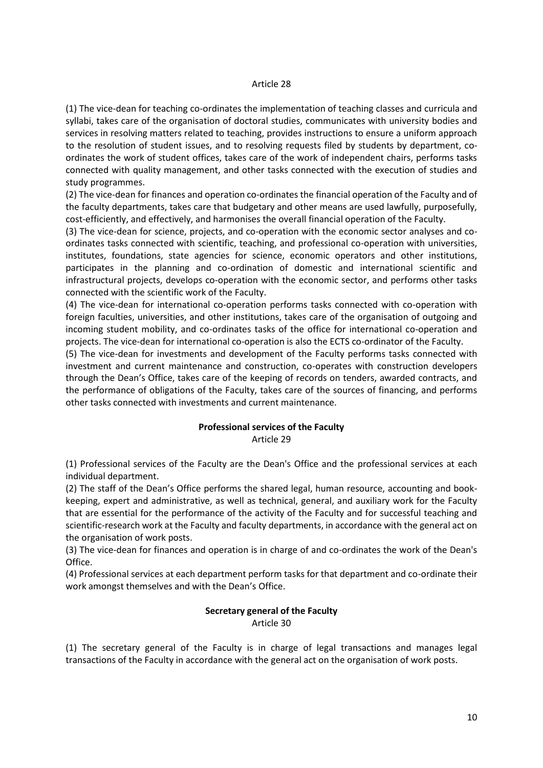(1) The vice-dean for teaching co-ordinates the implementation of teaching classes and curricula and syllabi, takes care of the organisation of doctoral studies, communicates with university bodies and services in resolving matters related to teaching, provides instructions to ensure a uniform approach to the resolution of student issues, and to resolving requests filed by students by department, coordinates the work of student offices, takes care of the work of independent chairs, performs tasks connected with quality management, and other tasks connected with the execution of studies and study programmes.

(2) The vice-dean for finances and operation co-ordinates the financial operation of the Faculty and of the faculty departments, takes care that budgetary and other means are used lawfully, purposefully, cost-efficiently, and effectively, and harmonises the overall financial operation of the Faculty.

(3) The vice-dean for science, projects, and co-operation with the economic sector analyses and coordinates tasks connected with scientific, teaching, and professional co-operation with universities, institutes, foundations, state agencies for science, economic operators and other institutions, participates in the planning and co-ordination of domestic and international scientific and infrastructural projects, develops co-operation with the economic sector, and performs other tasks connected with the scientific work of the Faculty.

(4) The vice-dean for international co-operation performs tasks connected with co-operation with foreign faculties, universities, and other institutions, takes care of the organisation of outgoing and incoming student mobility, and co-ordinates tasks of the office for international co-operation and projects. The vice-dean for international co-operation is also the ECTS co-ordinator of the Faculty.

(5) The vice-dean for investments and development of the Faculty performs tasks connected with investment and current maintenance and construction, co-operates with construction developers through the Dean's Office, takes care of the keeping of records on tenders, awarded contracts, and the performance of obligations of the Faculty, takes care of the sources of financing, and performs other tasks connected with investments and current maintenance.

#### **Professional services of the Faculty**

Article 29

(1) Professional services of the Faculty are the Dean's Office and the professional services at each individual department.

(2) The staff of the Dean's Office performs the shared legal, human resource, accounting and bookkeeping, expert and administrative, as well as technical, general, and auxiliary work for the Faculty that are essential for the performance of the activity of the Faculty and for successful teaching and scientific-research work at the Faculty and faculty departments, in accordance with the general act on the organisation of work posts.

(3) The vice-dean for finances and operation is in charge of and co-ordinates the work of the Dean's Office.

(4) Professional services at each department perform tasks for that department and co-ordinate their work amongst themselves and with the Dean's Office.

## **Secretary general of the Faculty**

Article 30

(1) The secretary general of the Faculty is in charge of legal transactions and manages legal transactions of the Faculty in accordance with the general act on the organisation of work posts.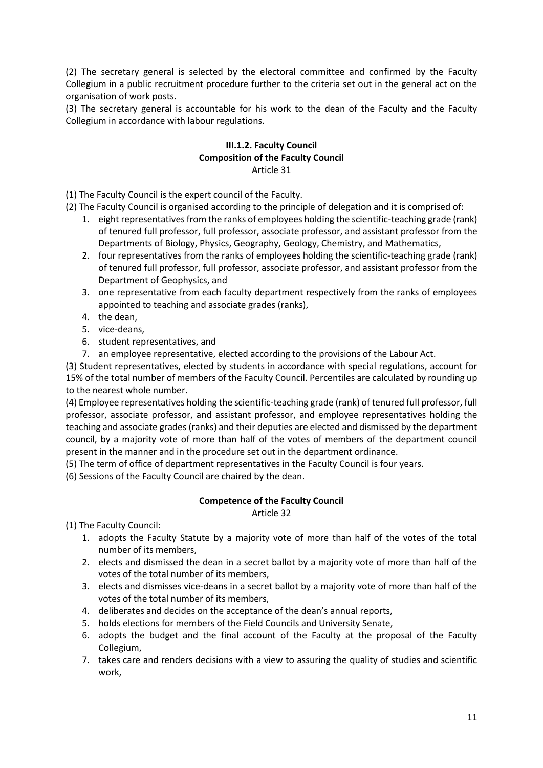(2) The secretary general is selected by the electoral committee and confirmed by the Faculty Collegium in a public recruitment procedure further to the criteria set out in the general act on the organisation of work posts.

(3) The secretary general is accountable for his work to the dean of the Faculty and the Faculty Collegium in accordance with labour regulations.

#### **III.1.2. Faculty Council Composition of the Faculty Council** Article 31

(1) The Faculty Council is the expert council of the Faculty.

(2) The Faculty Council is organised according to the principle of delegation and it is comprised of:

- 1. eight representatives from the ranks of employees holding the scientific-teaching grade (rank) of tenured full professor, full professor, associate professor, and assistant professor from the Departments of Biology, Physics, Geography, Geology, Chemistry, and Mathematics,
- 2. four representatives from the ranks of employees holding the scientific-teaching grade (rank) of tenured full professor, full professor, associate professor, and assistant professor from the Department of Geophysics, and
- 3. one representative from each faculty department respectively from the ranks of employees appointed to teaching and associate grades (ranks),
- 4. the dean,
- 5. vice-deans,
- 6. student representatives, and
- 7. an employee representative, elected according to the provisions of the Labour Act.

(3) Student representatives, elected by students in accordance with special regulations, account for 15% of the total number of members of the Faculty Council. Percentiles are calculated by rounding up to the nearest whole number.

(4) Employee representatives holding the scientific-teaching grade (rank) of tenured full professor, full professor, associate professor, and assistant professor, and employee representatives holding the teaching and associate grades (ranks) and their deputies are elected and dismissed by the department council, by a majority vote of more than half of the votes of members of the department council present in the manner and in the procedure set out in the department ordinance.

(5) The term of office of department representatives in the Faculty Council is four years.

(6) Sessions of the Faculty Council are chaired by the dean.

## **Competence of the Faculty Council**

Article 32

(1) The Faculty Council:

- 1. adopts the Faculty Statute by a majority vote of more than half of the votes of the total number of its members,
- 2. elects and dismissed the dean in a secret ballot by a majority vote of more than half of the votes of the total number of its members,
- 3. elects and dismisses vice-deans in a secret ballot by a majority vote of more than half of the votes of the total number of its members,
- 4. deliberates and decides on the acceptance of the dean's annual reports,
- 5. holds elections for members of the Field Councils and University Senate,
- 6. adopts the budget and the final account of the Faculty at the proposal of the Faculty Collegium,
- 7. takes care and renders decisions with a view to assuring the quality of studies and scientific work,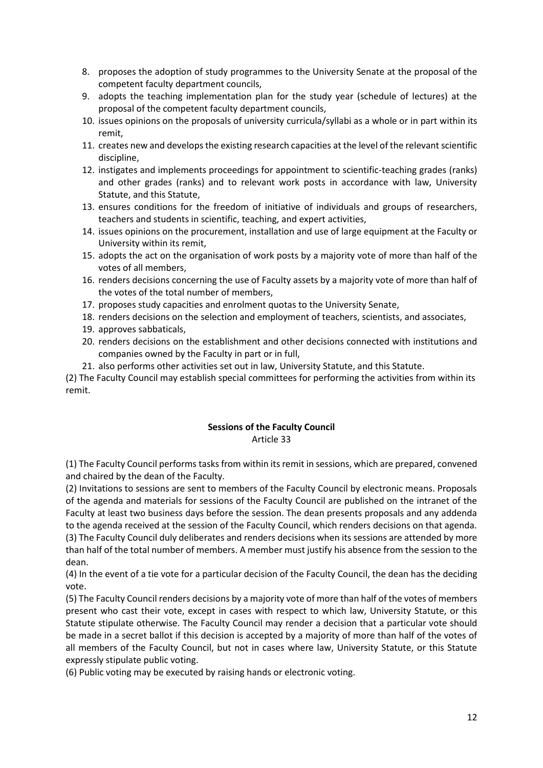- 8. proposes the adoption of study programmes to the University Senate at the proposal of the competent faculty department councils,
- 9. adopts the teaching implementation plan for the study year (schedule of lectures) at the proposal of the competent faculty department councils,
- 10. issues opinions on the proposals of university curricula/syllabi as a whole or in part within its remit,
- 11. creates new and develops the existing research capacities at the level of the relevant scientific discipline,
- 12. instigates and implements proceedings for appointment to scientific-teaching grades (ranks) and other grades (ranks) and to relevant work posts in accordance with law, University Statute, and this Statute,
- 13. ensures conditions for the freedom of initiative of individuals and groups of researchers, teachers and students in scientific, teaching, and expert activities,
- 14. issues opinions on the procurement, installation and use of large equipment at the Faculty or University within its remit,
- 15. adopts the act on the organisation of work posts by a majority vote of more than half of the votes of all members,
- 16. renders decisions concerning the use of Faculty assets by a majority vote of more than half of the votes of the total number of members,
- 17. proposes study capacities and enrolment quotas to the University Senate,
- 18. renders decisions on the selection and employment of teachers, scientists, and associates,
- 19. approves sabbaticals,
- 20. renders decisions on the establishment and other decisions connected with institutions and companies owned by the Faculty in part or in full,
- 21. also performs other activities set out in law, University Statute, and this Statute.

(2) The Faculty Council may establish special committees for performing the activities from within its remit.

#### **Sessions of the Faculty Council**

Article 33

(1) The Faculty Council performs tasks from within its remit in sessions, which are prepared, convened and chaired by the dean of the Faculty.

(2) Invitations to sessions are sent to members of the Faculty Council by electronic means. Proposals of the agenda and materials for sessions of the Faculty Council are published on the intranet of the Faculty at least two business days before the session. The dean presents proposals and any addenda to the agenda received at the session of the Faculty Council, which renders decisions on that agenda. (3) The Faculty Council duly deliberates and renders decisions when its sessions are attended by more than half of the total number of members. A member must justify his absence from the session to the dean.

(4) In the event of a tie vote for a particular decision of the Faculty Council, the dean has the deciding vote.

(5) The Faculty Council renders decisions by a majority vote of more than half of the votes of members present who cast their vote, except in cases with respect to which law, University Statute, or this Statute stipulate otherwise. The Faculty Council may render a decision that a particular vote should be made in a secret ballot if this decision is accepted by a majority of more than half of the votes of all members of the Faculty Council, but not in cases where law, University Statute, or this Statute expressly stipulate public voting.

(6) Public voting may be executed by raising hands or electronic voting.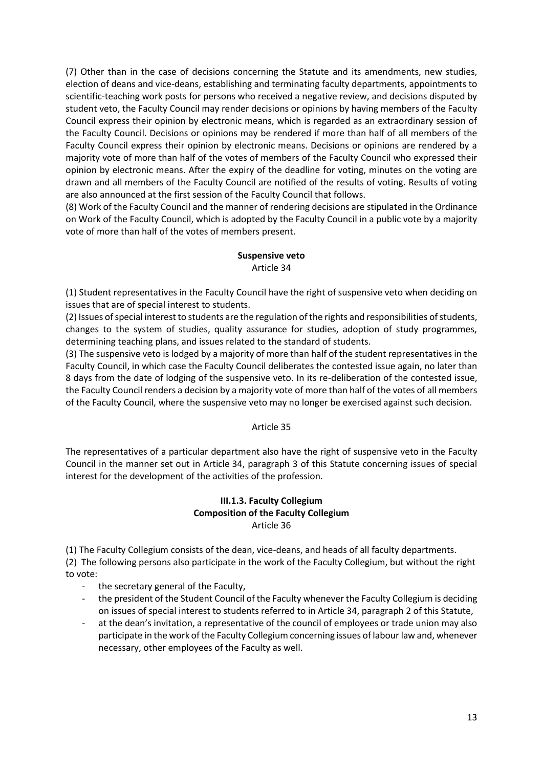(7) Other than in the case of decisions concerning the Statute and its amendments, new studies, election of deans and vice-deans, establishing and terminating faculty departments, appointments to scientific-teaching work posts for persons who received a negative review, and decisions disputed by student veto, the Faculty Council may render decisions or opinions by having members of the Faculty Council express their opinion by electronic means, which is regarded as an extraordinary session of the Faculty Council. Decisions or opinions may be rendered if more than half of all members of the Faculty Council express their opinion by electronic means. Decisions or opinions are rendered by a majority vote of more than half of the votes of members of the Faculty Council who expressed their opinion by electronic means. After the expiry of the deadline for voting, minutes on the voting are drawn and all members of the Faculty Council are notified of the results of voting. Results of voting are also announced at the first session of the Faculty Council that follows.

(8) Work of the Faculty Council and the manner of rendering decisions are stipulated in the Ordinance on Work of the Faculty Council, which is adopted by the Faculty Council in a public vote by a majority vote of more than half of the votes of members present.

## **Suspensive veto**

#### Article 34

(1) Student representatives in the Faculty Council have the right of suspensive veto when deciding on issues that are of special interest to students.

(2) Issues of special interest to students are the regulation of the rights and responsibilities of students, changes to the system of studies, quality assurance for studies, adoption of study programmes, determining teaching plans, and issues related to the standard of students.

(3) The suspensive veto is lodged by a majority of more than half of the student representatives in the Faculty Council, in which case the Faculty Council deliberates the contested issue again, no later than 8 days from the date of lodging of the suspensive veto. In its re-deliberation of the contested issue, the Faculty Council renders a decision by a majority vote of more than half of the votes of all members of the Faculty Council, where the suspensive veto may no longer be exercised against such decision.

## Article 35

The representatives of a particular department also have the right of suspensive veto in the Faculty Council in the manner set out in Article 34, paragraph 3 of this Statute concerning issues of special interest for the development of the activities of the profession.

## **III.1.3. Faculty Collegium Composition of the Faculty Collegium** Article 36

(1) The Faculty Collegium consists of the dean, vice-deans, and heads of all faculty departments.

(2) The following persons also participate in the work of the Faculty Collegium, but without the right to vote:

- the secretary general of the Faculty,
- the president of the Student Council of the Faculty whenever the Faculty Collegium is deciding on issues of special interest to students referred to in Article 34, paragraph 2 of this Statute,
- at the dean's invitation, a representative of the council of employees or trade union may also participate in the work of the Faculty Collegium concerning issues of labour law and, whenever necessary, other employees of the Faculty as well.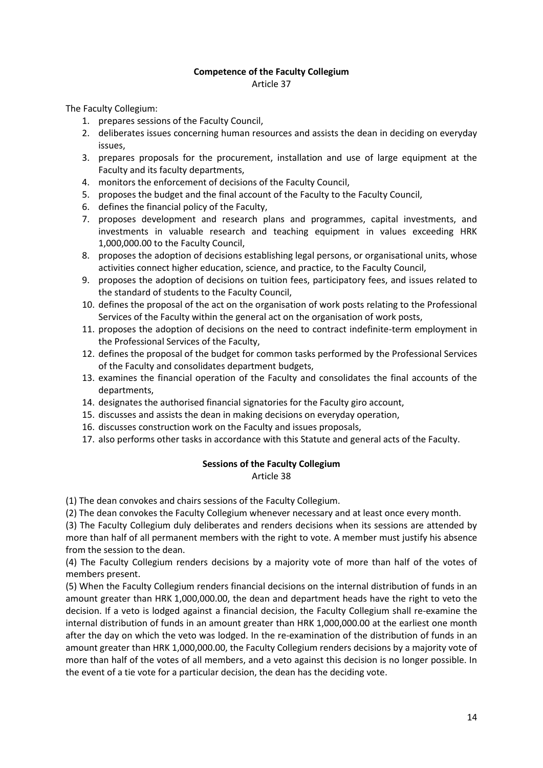#### **Competence of the Faculty Collegium**

Article 37

The Faculty Collegium:

- 1. prepares sessions of the Faculty Council,
- 2. deliberates issues concerning human resources and assists the dean in deciding on everyday issues,
- 3. prepares proposals for the procurement, installation and use of large equipment at the Faculty and its faculty departments,
- 4. monitors the enforcement of decisions of the Faculty Council,
- 5. proposes the budget and the final account of the Faculty to the Faculty Council,
- 6. defines the financial policy of the Faculty,
- 7. proposes development and research plans and programmes, capital investments, and investments in valuable research and teaching equipment in values exceeding HRK 1,000,000.00 to the Faculty Council,
- 8. proposes the adoption of decisions establishing legal persons, or organisational units, whose activities connect higher education, science, and practice, to the Faculty Council,
- 9. proposes the adoption of decisions on tuition fees, participatory fees, and issues related to the standard of students to the Faculty Council,
- 10. defines the proposal of the act on the organisation of work posts relating to the Professional Services of the Faculty within the general act on the organisation of work posts,
- 11. proposes the adoption of decisions on the need to contract indefinite-term employment in the Professional Services of the Faculty,
- 12. defines the proposal of the budget for common tasks performed by the Professional Services of the Faculty and consolidates department budgets,
- 13. examines the financial operation of the Faculty and consolidates the final accounts of the departments,
- 14. designates the authorised financial signatories for the Faculty giro account,
- 15. discusses and assists the dean in making decisions on everyday operation,
- 16. discusses construction work on the Faculty and issues proposals,
- 17. also performs other tasks in accordance with this Statute and general acts of the Faculty.

## **Sessions of the Faculty Collegium**

#### Article 38

(1) The dean convokes and chairs sessions of the Faculty Collegium.

(2) The dean convokes the Faculty Collegium whenever necessary and at least once every month.

(3) The Faculty Collegium duly deliberates and renders decisions when its sessions are attended by more than half of all permanent members with the right to vote. A member must justify his absence from the session to the dean.

(4) The Faculty Collegium renders decisions by a majority vote of more than half of the votes of members present.

(5) When the Faculty Collegium renders financial decisions on the internal distribution of funds in an amount greater than HRK 1,000,000.00, the dean and department heads have the right to veto the decision. If a veto is lodged against a financial decision, the Faculty Collegium shall re-examine the internal distribution of funds in an amount greater than HRK 1,000,000.00 at the earliest one month after the day on which the veto was lodged. In the re-examination of the distribution of funds in an amount greater than HRK 1,000,000.00, the Faculty Collegium renders decisions by a majority vote of more than half of the votes of all members, and a veto against this decision is no longer possible. In the event of a tie vote for a particular decision, the dean has the deciding vote.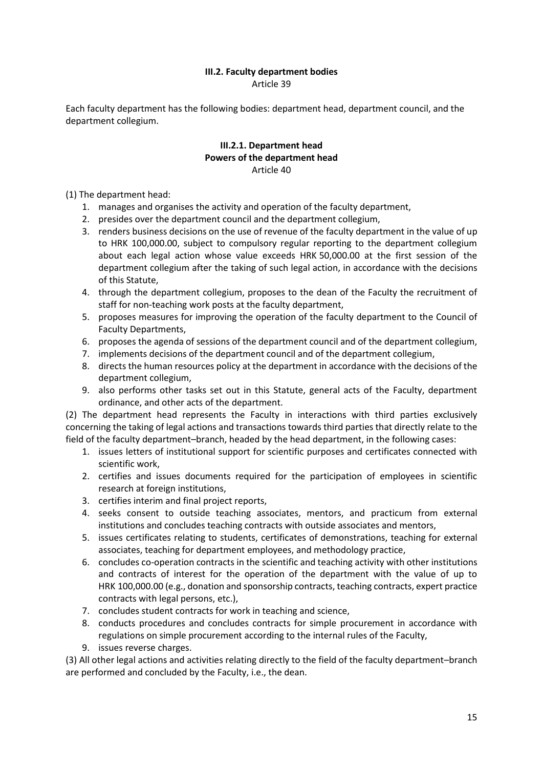#### **III.2. Faculty department bodies** Article 39

Each faculty department has the following bodies: department head, department council, and the department collegium.

#### **III.2.1. Department head Powers of the department head** Article 40

(1) The department head:

- 1. manages and organises the activity and operation of the faculty department,
- 2. presides over the department council and the department collegium,
- 3. renders business decisions on the use of revenue of the faculty department in the value of up to HRK 100,000.00, subject to compulsory regular reporting to the department collegium about each legal action whose value exceeds HRK 50,000.00 at the first session of the department collegium after the taking of such legal action, in accordance with the decisions of this Statute,
- 4. through the department collegium, proposes to the dean of the Faculty the recruitment of staff for non-teaching work posts at the faculty department,
- 5. proposes measures for improving the operation of the faculty department to the Council of Faculty Departments,
- 6. proposes the agenda of sessions of the department council and of the department collegium,
- 7. implements decisions of the department council and of the department collegium,
- 8. directs the human resources policy at the department in accordance with the decisions of the department collegium,
- 9. also performs other tasks set out in this Statute, general acts of the Faculty, department ordinance, and other acts of the department.

(2) The department head represents the Faculty in interactions with third parties exclusively concerning the taking of legal actions and transactions towards third parties that directly relate to the field of the faculty department–branch, headed by the head department, in the following cases:

- 1. issues letters of institutional support for scientific purposes and certificates connected with scientific work,
- 2. certifies and issues documents required for the participation of employees in scientific research at foreign institutions,
- 3. certifies interim and final project reports,
- 4. seeks consent to outside teaching associates, mentors, and practicum from external institutions and concludes teaching contracts with outside associates and mentors,
- 5. issues certificates relating to students, certificates of demonstrations, teaching for external associates, teaching for department employees, and methodology practice,
- 6. concludes co-operation contracts in the scientific and teaching activity with other institutions and contracts of interest for the operation of the department with the value of up to HRK 100,000.00 (e.g., donation and sponsorship contracts, teaching contracts, expert practice contracts with legal persons, etc.),
- 7. concludes student contracts for work in teaching and science,
- 8. conducts procedures and concludes contracts for simple procurement in accordance with regulations on simple procurement according to the internal rules of the Faculty,
- 9. issues reverse charges.

(3) All other legal actions and activities relating directly to the field of the faculty department–branch are performed and concluded by the Faculty, i.e., the dean.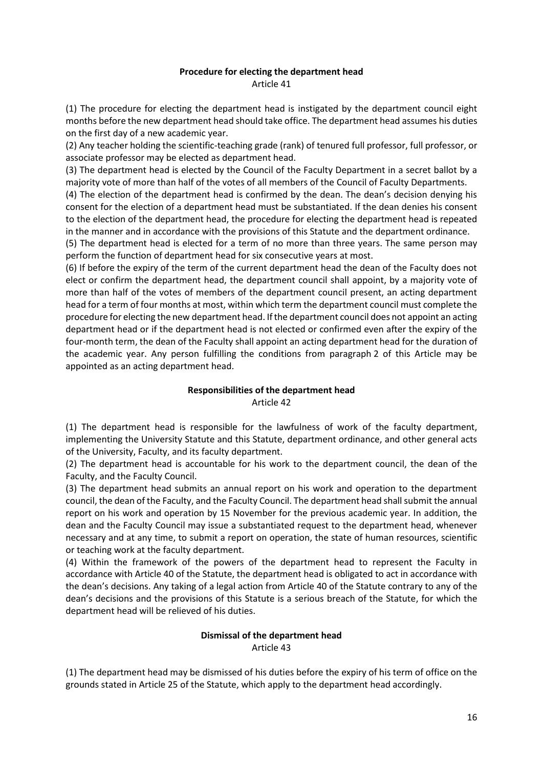### **Procedure for electing the department head** Article 41

(1) The procedure for electing the department head is instigated by the department council eight months before the new department head should take office. The department head assumes his duties on the first day of a new academic year.

(2) Any teacher holding the scientific-teaching grade (rank) of tenured full professor, full professor, or associate professor may be elected as department head.

(3) The department head is elected by the Council of the Faculty Department in a secret ballot by a majority vote of more than half of the votes of all members of the Council of Faculty Departments.

(4) The election of the department head is confirmed by the dean. The dean's decision denying his consent for the election of a department head must be substantiated. If the dean denies his consent to the election of the department head, the procedure for electing the department head is repeated in the manner and in accordance with the provisions of this Statute and the department ordinance.

(5) The department head is elected for a term of no more than three years. The same person may perform the function of department head for six consecutive years at most.

(6) If before the expiry of the term of the current department head the dean of the Faculty does not elect or confirm the department head, the department council shall appoint, by a majority vote of more than half of the votes of members of the department council present, an acting department head for a term of four months at most, within which term the department council must complete the procedure for electing the new department head. If the department council does not appoint an acting department head or if the department head is not elected or confirmed even after the expiry of the four-month term, the dean of the Faculty shall appoint an acting department head for the duration of the academic year. Any person fulfilling the conditions from paragraph 2 of this Article may be appointed as an acting department head.

#### **Responsibilities of the department head** Article 42

(1) The department head is responsible for the lawfulness of work of the faculty department, implementing the University Statute and this Statute, department ordinance, and other general acts of the University, Faculty, and its faculty department.

(2) The department head is accountable for his work to the department council, the dean of the Faculty, and the Faculty Council.

(3) The department head submits an annual report on his work and operation to the department council, the dean of the Faculty, and the Faculty Council. The department head shall submit the annual report on his work and operation by 15 November for the previous academic year. In addition, the dean and the Faculty Council may issue a substantiated request to the department head, whenever necessary and at any time, to submit a report on operation, the state of human resources, scientific or teaching work at the faculty department.

(4) Within the framework of the powers of the department head to represent the Faculty in accordance with Article 40 of the Statute, the department head is obligated to act in accordance with the dean's decisions. Any taking of a legal action from Article 40 of the Statute contrary to any of the dean's decisions and the provisions of this Statute is a serious breach of the Statute, for which the department head will be relieved of his duties.

#### **Dismissal of the department head**  Article 43

(1) The department head may be dismissed of his duties before the expiry of his term of office on the grounds stated in Article 25 of the Statute, which apply to the department head accordingly.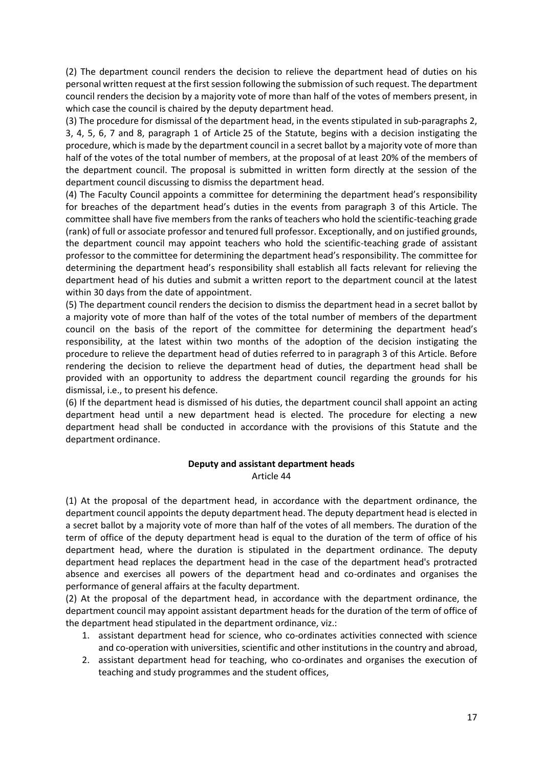(2) The department council renders the decision to relieve the department head of duties on his personal written request at the first session following the submission of such request. The department council renders the decision by a majority vote of more than half of the votes of members present, in which case the council is chaired by the deputy department head.

(3) The procedure for dismissal of the department head, in the events stipulated in sub-paragraphs 2, 3, 4, 5, 6, 7 and 8, paragraph 1 of Article 25 of the Statute, begins with a decision instigating the procedure, which is made by the department council in a secret ballot by a majority vote of more than half of the votes of the total number of members, at the proposal of at least 20% of the members of the department council. The proposal is submitted in written form directly at the session of the department council discussing to dismiss the department head.

(4) The Faculty Council appoints a committee for determining the department head's responsibility for breaches of the department head's duties in the events from paragraph 3 of this Article. The committee shall have five members from the ranks of teachers who hold the scientific-teaching grade (rank) of full or associate professor and tenured full professor. Exceptionally, and on justified grounds, the department council may appoint teachers who hold the scientific-teaching grade of assistant professor to the committee for determining the department head's responsibility. The committee for determining the department head's responsibility shall establish all facts relevant for relieving the department head of his duties and submit a written report to the department council at the latest within 30 days from the date of appointment.

(5) The department council renders the decision to dismiss the department head in a secret ballot by a majority vote of more than half of the votes of the total number of members of the department council on the basis of the report of the committee for determining the department head's responsibility, at the latest within two months of the adoption of the decision instigating the procedure to relieve the department head of duties referred to in paragraph 3 of this Article. Before rendering the decision to relieve the department head of duties, the department head shall be provided with an opportunity to address the department council regarding the grounds for his dismissal, i.e., to present his defence.

(6) If the department head is dismissed of his duties, the department council shall appoint an acting department head until a new department head is elected. The procedure for electing a new department head shall be conducted in accordance with the provisions of this Statute and the department ordinance.

#### **Deputy and assistant department heads** Article 44

(1) At the proposal of the department head, in accordance with the department ordinance, the department council appoints the deputy department head. The deputy department head is elected in a secret ballot by a majority vote of more than half of the votes of all members. The duration of the term of office of the deputy department head is equal to the duration of the term of office of his department head, where the duration is stipulated in the department ordinance. The deputy department head replaces the department head in the case of the department head's protracted absence and exercises all powers of the department head and co-ordinates and organises the performance of general affairs at the faculty department.

(2) At the proposal of the department head, in accordance with the department ordinance, the department council may appoint assistant department heads for the duration of the term of office of the department head stipulated in the department ordinance, viz.:

- 1. assistant department head for science, who co-ordinates activities connected with science and co-operation with universities, scientific and other institutions in the country and abroad,
- 2. assistant department head for teaching, who co-ordinates and organises the execution of teaching and study programmes and the student offices,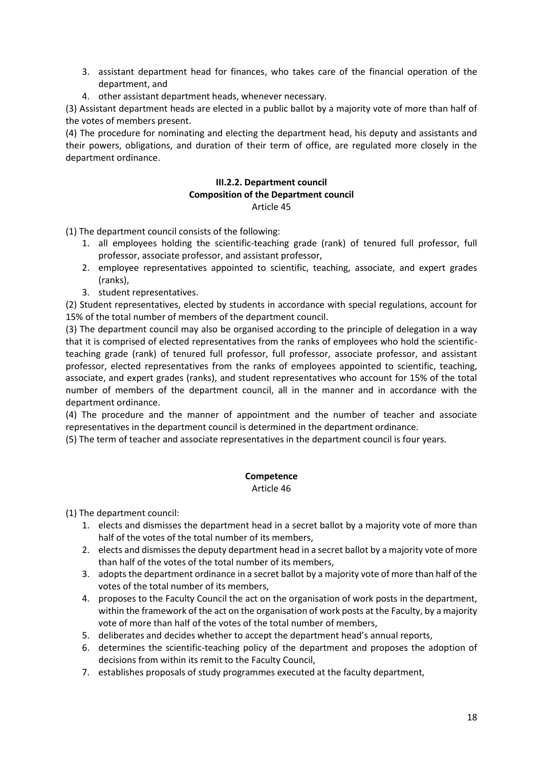- 3. assistant department head for finances, who takes care of the financial operation of the department, and
- 4. other assistant department heads, whenever necessary.

(3) Assistant department heads are elected in a public ballot by a majority vote of more than half of the votes of members present.

(4) The procedure for nominating and electing the department head, his deputy and assistants and their powers, obligations, and duration of their term of office, are regulated more closely in the department ordinance.

#### **III.2.2. Department council Composition of the Department council** Article 45

(1) The department council consists of the following:

- 1. all employees holding the scientific-teaching grade (rank) of tenured full professor, full professor, associate professor, and assistant professor,
- 2. employee representatives appointed to scientific, teaching, associate, and expert grades (ranks),
- 3. student representatives.

(2) Student representatives, elected by students in accordance with special regulations, account for 15% of the total number of members of the department council.

(3) The department council may also be organised according to the principle of delegation in a way that it is comprised of elected representatives from the ranks of employees who hold the scientificteaching grade (rank) of tenured full professor, full professor, associate professor, and assistant professor, elected representatives from the ranks of employees appointed to scientific, teaching, associate, and expert grades (ranks), and student representatives who account for 15% of the total number of members of the department council, all in the manner and in accordance with the department ordinance.

(4) The procedure and the manner of appointment and the number of teacher and associate representatives in the department council is determined in the department ordinance.

(5) The term of teacher and associate representatives in the department council is four years.

## **Competence**

Article 46

(1) The department council:

- 1. elects and dismisses the department head in a secret ballot by a majority vote of more than half of the votes of the total number of its members,
- 2. elects and dismisses the deputy department head in a secret ballot by a majority vote of more than half of the votes of the total number of its members,
- 3. adopts the department ordinance in a secret ballot by a majority vote of more than half of the votes of the total number of its members,
- 4. proposes to the Faculty Council the act on the organisation of work posts in the department, within the framework of the act on the organisation of work posts at the Faculty, by a majority vote of more than half of the votes of the total number of members,
- 5. deliberates and decides whether to accept the department head's annual reports,
- 6. determines the scientific-teaching policy of the department and proposes the adoption of decisions from within its remit to the Faculty Council,
- 7. establishes proposals of study programmes executed at the faculty department,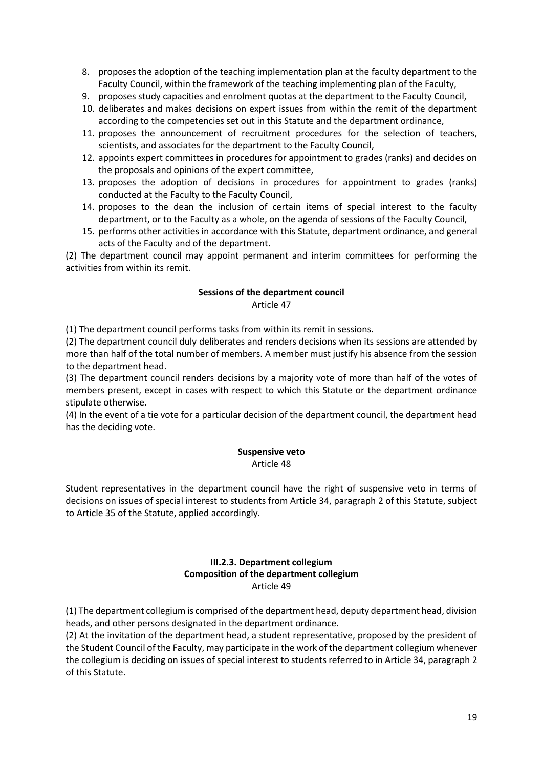- 8. proposes the adoption of the teaching implementation plan at the faculty department to the Faculty Council, within the framework of the teaching implementing plan of the Faculty,
- 9. proposes study capacities and enrolment quotas at the department to the Faculty Council,
- 10. deliberates and makes decisions on expert issues from within the remit of the department according to the competencies set out in this Statute and the department ordinance,
- 11. proposes the announcement of recruitment procedures for the selection of teachers, scientists, and associates for the department to the Faculty Council,
- 12. appoints expert committees in procedures for appointment to grades (ranks) and decides on the proposals and opinions of the expert committee,
- 13. proposes the adoption of decisions in procedures for appointment to grades (ranks) conducted at the Faculty to the Faculty Council,
- 14. proposes to the dean the inclusion of certain items of special interest to the faculty department, or to the Faculty as a whole, on the agenda of sessions of the Faculty Council,
- 15. performs other activities in accordance with this Statute, department ordinance, and general acts of the Faculty and of the department.

(2) The department council may appoint permanent and interim committees for performing the activities from within its remit.

# **Sessions of the department council**

Article 47

(1) The department council performs tasks from within its remit in sessions.

(2) The department council duly deliberates and renders decisions when its sessions are attended by more than half of the total number of members. A member must justify his absence from the session to the department head.

(3) The department council renders decisions by a majority vote of more than half of the votes of members present, except in cases with respect to which this Statute or the department ordinance stipulate otherwise.

(4) In the event of a tie vote for a particular decision of the department council, the department head has the deciding vote.

#### **Suspensive veto**  Article 48

Student representatives in the department council have the right of suspensive veto in terms of decisions on issues of special interest to students from Article 34, paragraph 2 of this Statute, subject to Article 35 of the Statute, applied accordingly.

#### **III.2.3. Department collegium Composition of the department collegium** Article 49

(1) The department collegium is comprised of the department head, deputy department head, division heads, and other persons designated in the department ordinance.

(2) At the invitation of the department head, a student representative, proposed by the president of the Student Council of the Faculty, may participate in the work of the department collegium whenever the collegium is deciding on issues of special interest to students referred to in Article 34, paragraph 2 of this Statute.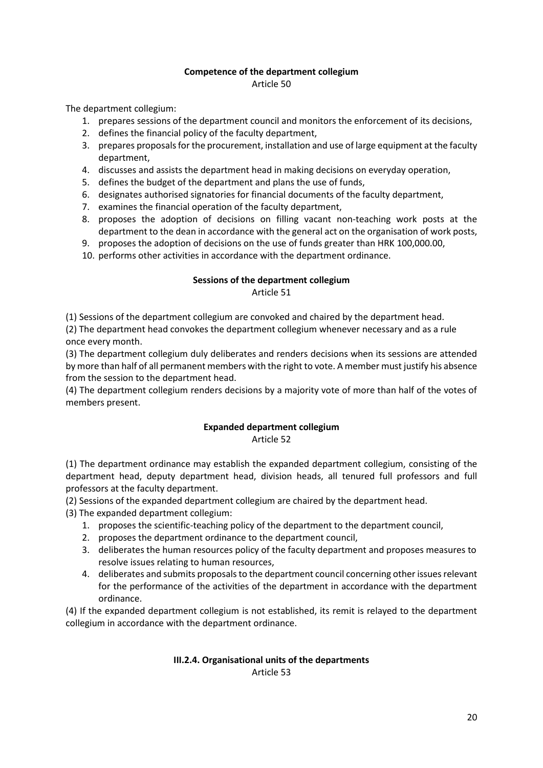## **Competence of the department collegium**

Article 50

The department collegium:

- 1. prepares sessions of the department council and monitors the enforcement of its decisions,
- 2. defines the financial policy of the faculty department,
- 3. prepares proposals for the procurement, installation and use of large equipment at the faculty department,
- 4. discusses and assists the department head in making decisions on everyday operation,
- 5. defines the budget of the department and plans the use of funds,
- 6. designates authorised signatories for financial documents of the faculty department,
- 7. examines the financial operation of the faculty department,
- 8. proposes the adoption of decisions on filling vacant non-teaching work posts at the department to the dean in accordance with the general act on the organisation of work posts,
- 9. proposes the adoption of decisions on the use of funds greater than HRK 100,000.00,
- 10. performs other activities in accordance with the department ordinance.

#### **Sessions of the department collegium**

Article 51

(1) Sessions of the department collegium are convoked and chaired by the department head.

(2) The department head convokes the department collegium whenever necessary and as a rule once every month.

(3) The department collegium duly deliberates and renders decisions when its sessions are attended by more than half of all permanent members with the right to vote. A member must justify his absence from the session to the department head.

(4) The department collegium renders decisions by a majority vote of more than half of the votes of members present.

#### **Expanded department collegium**

Article 52

(1) The department ordinance may establish the expanded department collegium, consisting of the department head, deputy department head, division heads, all tenured full professors and full professors at the faculty department.

(2) Sessions of the expanded department collegium are chaired by the department head.

(3) The expanded department collegium:

- 1. proposes the scientific-teaching policy of the department to the department council,
- 2. proposes the department ordinance to the department council,
- 3. deliberates the human resources policy of the faculty department and proposes measures to resolve issues relating to human resources,
- 4. deliberates and submits proposals to the department council concerning other issues relevant for the performance of the activities of the department in accordance with the department ordinance.

(4) If the expanded department collegium is not established, its remit is relayed to the department collegium in accordance with the department ordinance.

#### **III.2.4. Organisational units of the departments** Article 53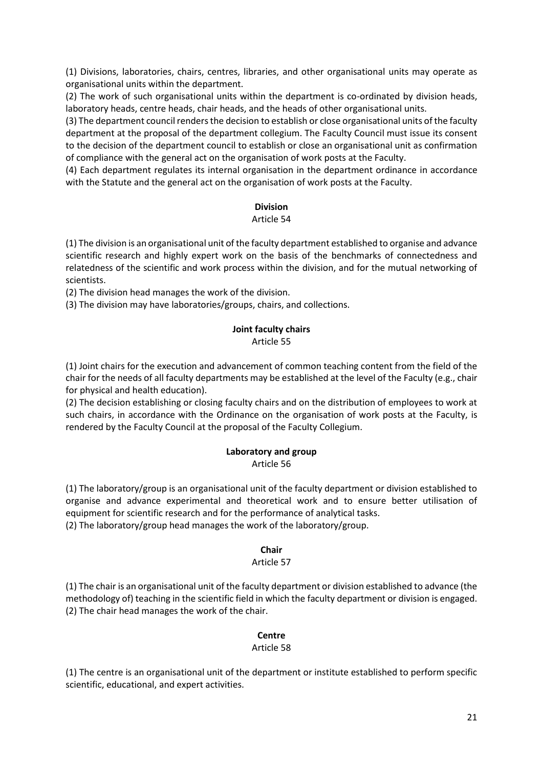(1) Divisions, laboratories, chairs, centres, libraries, and other organisational units may operate as organisational units within the department.

(2) The work of such organisational units within the department is co-ordinated by division heads, laboratory heads, centre heads, chair heads, and the heads of other organisational units.

(3) The department council renders the decision to establish or close organisational units of the faculty department at the proposal of the department collegium. The Faculty Council must issue its consent to the decision of the department council to establish or close an organisational unit as confirmation of compliance with the general act on the organisation of work posts at the Faculty.

(4) Each department regulates its internal organisation in the department ordinance in accordance with the Statute and the general act on the organisation of work posts at the Faculty.

## **Division**

#### Article 54

(1) The division is an organisational unit of the faculty department established to organise and advance scientific research and highly expert work on the basis of the benchmarks of connectedness and relatedness of the scientific and work process within the division, and for the mutual networking of scientists.

(2) The division head manages the work of the division.

(3) The division may have laboratories/groups, chairs, and collections.

## **Joint faculty chairs**

Article 55

(1) Joint chairs for the execution and advancement of common teaching content from the field of the chair for the needs of all faculty departments may be established at the level of the Faculty (e.g., chair for physical and health education).

(2) The decision establishing or closing faculty chairs and on the distribution of employees to work at such chairs, in accordance with the Ordinance on the organisation of work posts at the Faculty, is rendered by the Faculty Council at the proposal of the Faculty Collegium.

## **Laboratory and group**

Article 56

(1) The laboratory/group is an organisational unit of the faculty department or division established to organise and advance experimental and theoretical work and to ensure better utilisation of equipment for scientific research and for the performance of analytical tasks. (2) The laboratory/group head manages the work of the laboratory/group.

#### **Chair**

#### Article 57

(1) The chair is an organisational unit of the faculty department or division established to advance (the methodology of) teaching in the scientific field in which the faculty department or division is engaged. (2) The chair head manages the work of the chair.

#### **Centre**

#### Article 58

(1) The centre is an organisational unit of the department or institute established to perform specific scientific, educational, and expert activities.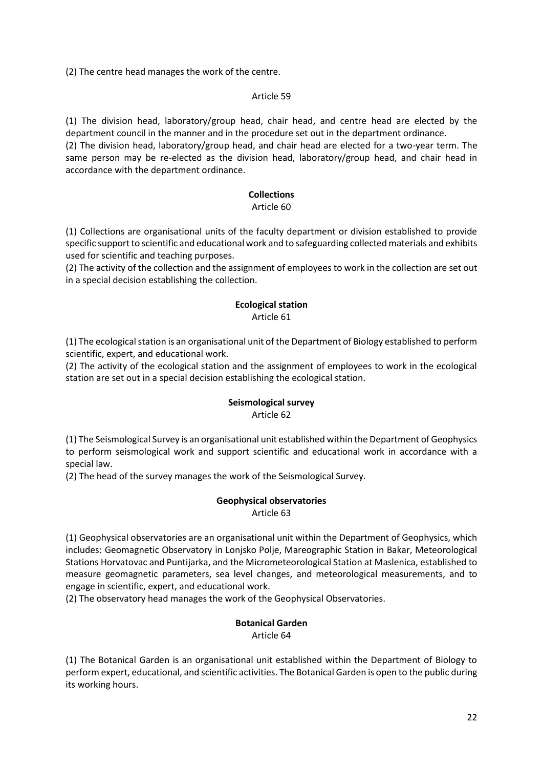(2) The centre head manages the work of the centre.

#### Article 59

(1) The division head, laboratory/group head, chair head, and centre head are elected by the department council in the manner and in the procedure set out in the department ordinance.

(2) The division head, laboratory/group head, and chair head are elected for a two-year term. The same person may be re-elected as the division head, laboratory/group head, and chair head in accordance with the department ordinance.

## **Collections**

#### Article 60

(1) Collections are organisational units of the faculty department or division established to provide specific support to scientific and educational work and to safeguarding collected materials and exhibits used for scientific and teaching purposes.

(2) The activity of the collection and the assignment of employees to work in the collection are set out in a special decision establishing the collection.

#### **Ecological station** Article 61

(1) The ecological station is an organisational unit of the Department of Biology established to perform scientific, expert, and educational work.

(2) The activity of the ecological station and the assignment of employees to work in the ecological station are set out in a special decision establishing the ecological station.

## **Seismological survey**

Article 62

(1) The Seismological Survey is an organisational unit established within the Department of Geophysics to perform seismological work and support scientific and educational work in accordance with a special law.

(2) The head of the survey manages the work of the Seismological Survey.

## **Geophysical observatories**

Article 63

(1) Geophysical observatories are an organisational unit within the Department of Geophysics, which includes: Geomagnetic Observatory in Lonjsko Polje, Mareographic Station in Bakar, Meteorological Stations Horvatovac and Puntijarka, and the Micrometeorological Station at Maslenica, established to measure geomagnetic parameters, sea level changes, and meteorological measurements, and to engage in scientific, expert, and educational work.

(2) The observatory head manages the work of the Geophysical Observatories.

# **Botanical Garden**

Article 64

(1) The Botanical Garden is an organisational unit established within the Department of Biology to perform expert, educational, and scientific activities. The Botanical Garden is open to the public during its working hours.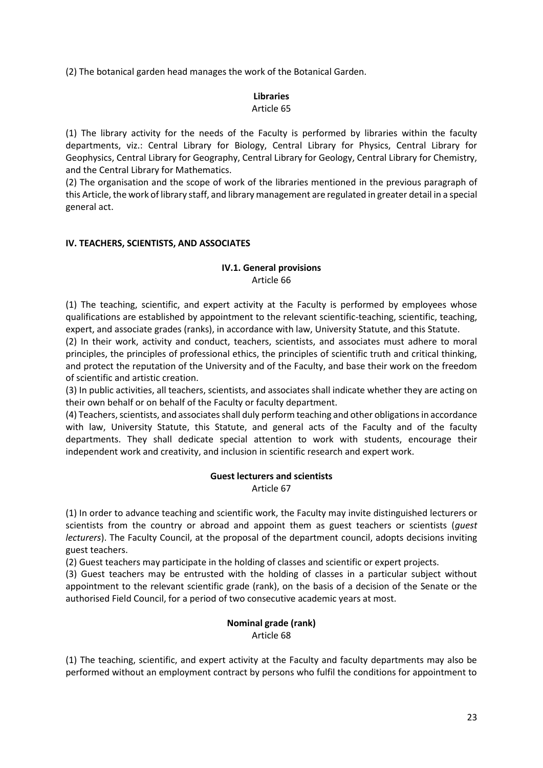(2) The botanical garden head manages the work of the Botanical Garden.

## **Libraries**

#### Article 65

(1) The library activity for the needs of the Faculty is performed by libraries within the faculty departments, viz.: Central Library for Biology, Central Library for Physics, Central Library for Geophysics, Central Library for Geography, Central Library for Geology, Central Library for Chemistry, and the Central Library for Mathematics.

(2) The organisation and the scope of work of the libraries mentioned in the previous paragraph of this Article, the work of library staff, and library management are regulated in greater detail in a special general act.

#### **IV. TEACHERS, SCIENTISTS, AND ASSOCIATES**

#### **IV.1. General provisions** Article 66

(1) The teaching, scientific, and expert activity at the Faculty is performed by employees whose qualifications are established by appointment to the relevant scientific-teaching, scientific, teaching, expert, and associate grades (ranks), in accordance with law, University Statute, and this Statute.

(2) In their work, activity and conduct, teachers, scientists, and associates must adhere to moral principles, the principles of professional ethics, the principles of scientific truth and critical thinking, and protect the reputation of the University and of the Faculty, and base their work on the freedom of scientific and artistic creation.

(3) In public activities, all teachers, scientists, and associates shall indicate whether they are acting on their own behalf or on behalf of the Faculty or faculty department.

(4) Teachers, scientists, and associates shall duly perform teaching and other obligations in accordance with law, University Statute, this Statute, and general acts of the Faculty and of the faculty departments. They shall dedicate special attention to work with students, encourage their independent work and creativity, and inclusion in scientific research and expert work.

## **Guest lecturers and scientists**

Article 67

(1) In order to advance teaching and scientific work, the Faculty may invite distinguished lecturers or scientists from the country or abroad and appoint them as guest teachers or scientists (*guest lecturers*). The Faculty Council, at the proposal of the department council, adopts decisions inviting guest teachers.

(2) Guest teachers may participate in the holding of classes and scientific or expert projects.

(3) Guest teachers may be entrusted with the holding of classes in a particular subject without appointment to the relevant scientific grade (rank), on the basis of a decision of the Senate or the authorised Field Council, for a period of two consecutive academic years at most.

#### **Nominal grade (rank)** Article 68

(1) The teaching, scientific, and expert activity at the Faculty and faculty departments may also be performed without an employment contract by persons who fulfil the conditions for appointment to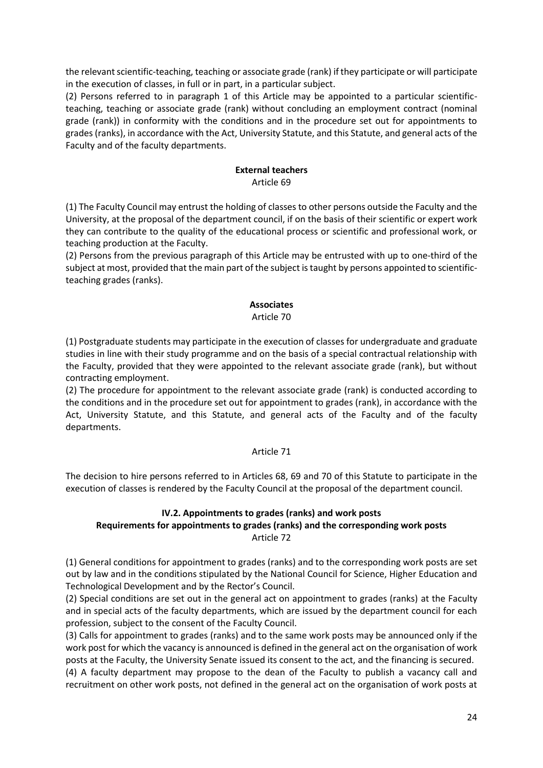the relevant scientific-teaching, teaching or associate grade (rank) if they participate or will participate in the execution of classes, in full or in part, in a particular subject.

(2) Persons referred to in paragraph 1 of this Article may be appointed to a particular scientificteaching, teaching or associate grade (rank) without concluding an employment contract (nominal grade (rank)) in conformity with the conditions and in the procedure set out for appointments to grades (ranks), in accordance with the Act, University Statute, and this Statute, and general acts of the Faculty and of the faculty departments.

#### **External teachers**

Article 69

(1) The Faculty Council may entrust the holding of classes to other persons outside the Faculty and the University, at the proposal of the department council, if on the basis of their scientific or expert work they can contribute to the quality of the educational process or scientific and professional work, or teaching production at the Faculty.

(2) Persons from the previous paragraph of this Article may be entrusted with up to one-third of the subject at most, provided that the main part of the subject is taught by persons appointed to scientificteaching grades (ranks).

## **Associates**

#### Article 70

(1) Postgraduate students may participate in the execution of classes for undergraduate and graduate studies in line with their study programme and on the basis of a special contractual relationship with the Faculty, provided that they were appointed to the relevant associate grade (rank), but without contracting employment.

(2) The procedure for appointment to the relevant associate grade (rank) is conducted according to the conditions and in the procedure set out for appointment to grades (rank), in accordance with the Act, University Statute, and this Statute, and general acts of the Faculty and of the faculty departments.

#### Article 71

The decision to hire persons referred to in Articles 68, 69 and 70 of this Statute to participate in the execution of classes is rendered by the Faculty Council at the proposal of the department council.

### **IV.2. Appointments to grades (ranks) and work posts Requirements for appointments to grades (ranks) and the corresponding work posts** Article 72

(1) General conditions for appointment to grades (ranks) and to the corresponding work posts are set out by law and in the conditions stipulated by the National Council for Science, Higher Education and Technological Development and by the Rector's Council.

(2) Special conditions are set out in the general act on appointment to grades (ranks) at the Faculty and in special acts of the faculty departments, which are issued by the department council for each profession, subject to the consent of the Faculty Council.

(3) Calls for appointment to grades (ranks) and to the same work posts may be announced only if the work post for which the vacancy is announced is defined in the general act on the organisation of work posts at the Faculty, the University Senate issued its consent to the act, and the financing is secured.

(4) A faculty department may propose to the dean of the Faculty to publish a vacancy call and recruitment on other work posts, not defined in the general act on the organisation of work posts at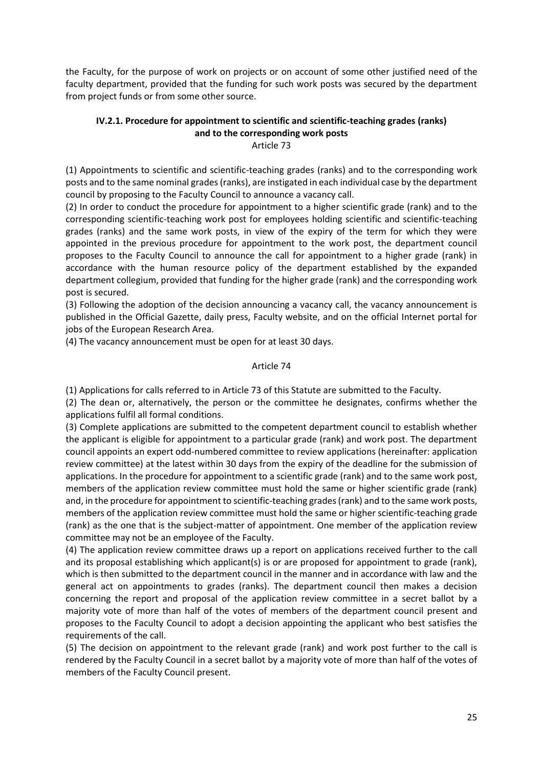the Faculty, for the purpose of work on projects or on account of some other justified need of the faculty department, provided that the funding for such work posts was secured by the department from project funds or from some other source.

## **IV.2.1. Procedure for appointment to scientific and scientific-teaching grades (ranks) and to the corresponding work posts**

Article 73

(1) Appointments to scientific and scientific-teaching grades (ranks) and to the corresponding work posts and to the same nominal grades (ranks), are instigated in each individual case by the department council by proposing to the Faculty Council to announce a vacancy call.

(2) In order to conduct the procedure for appointment to a higher scientific grade (rank) and to the corresponding scientific-teaching work post for employees holding scientific and scientific-teaching grades (ranks) and the same work posts, in view of the expiry of the term for which they were appointed in the previous procedure for appointment to the work post, the department council proposes to the Faculty Council to announce the call for appointment to a higher grade (rank) in accordance with the human resource policy of the department established by the expanded department collegium, provided that funding for the higher grade (rank) and the corresponding work post is secured.

(3) Following the adoption of the decision announcing a vacancy call, the vacancy announcement is published in the Official Gazette, daily press, Faculty website, and on the official Internet portal for jobs of the European Research Area.

(4) The vacancy announcement must be open for at least 30 days.

## Article 74

(1) Applications for calls referred to in Article 73 of this Statute are submitted to the Faculty.

(2) The dean or, alternatively, the person or the committee he designates, confirms whether the applications fulfil all formal conditions.

(3) Complete applications are submitted to the competent department council to establish whether the applicant is eligible for appointment to a particular grade (rank) and work post. The department council appoints an expert odd-numbered committee to review applications (hereinafter: application review committee) at the latest within 30 days from the expiry of the deadline for the submission of applications. In the procedure for appointment to a scientific grade (rank) and to the same work post, members of the application review committee must hold the same or higher scientific grade (rank) and, in the procedure for appointment to scientific-teaching grades (rank) and to the same work posts, members of the application review committee must hold the same or higher scientific-teaching grade (rank) as the one that is the subject-matter of appointment. One member of the application review committee may not be an employee of the Faculty.

(4) The application review committee draws up a report on applications received further to the call and its proposal establishing which applicant(s) is or are proposed for appointment to grade (rank), which is then submitted to the department council in the manner and in accordance with law and the general act on appointments to grades (ranks). The department council then makes a decision concerning the report and proposal of the application review committee in a secret ballot by a majority vote of more than half of the votes of members of the department council present and proposes to the Faculty Council to adopt a decision appointing the applicant who best satisfies the requirements of the call.

(5) The decision on appointment to the relevant grade (rank) and work post further to the call is rendered by the Faculty Council in a secret ballot by a majority vote of more than half of the votes of members of the Faculty Council present.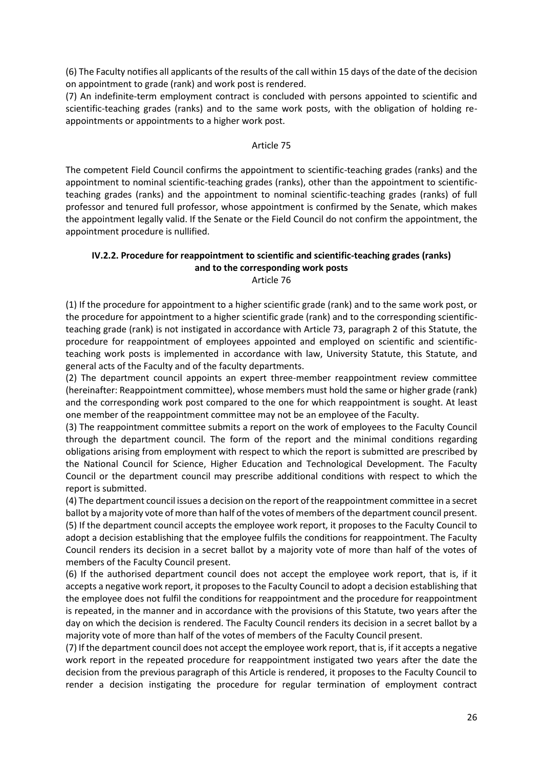(6) The Faculty notifies all applicants of the results of the call within 15 days of the date of the decision on appointment to grade (rank) and work post is rendered.

(7) An indefinite-term employment contract is concluded with persons appointed to scientific and scientific-teaching grades (ranks) and to the same work posts, with the obligation of holding reappointments or appointments to a higher work post.

#### Article 75

The competent Field Council confirms the appointment to scientific-teaching grades (ranks) and the appointment to nominal scientific-teaching grades (ranks), other than the appointment to scientificteaching grades (ranks) and the appointment to nominal scientific-teaching grades (ranks) of full professor and tenured full professor, whose appointment is confirmed by the Senate, which makes the appointment legally valid. If the Senate or the Field Council do not confirm the appointment, the appointment procedure is nullified.

## **IV.2.2. Procedure for reappointment to scientific and scientific-teaching grades (ranks) and to the corresponding work posts**

Article 76

(1) If the procedure for appointment to a higher scientific grade (rank) and to the same work post, or the procedure for appointment to a higher scientific grade (rank) and to the corresponding scientificteaching grade (rank) is not instigated in accordance with Article 73, paragraph 2 of this Statute, the procedure for reappointment of employees appointed and employed on scientific and scientificteaching work posts is implemented in accordance with law, University Statute, this Statute, and general acts of the Faculty and of the faculty departments.

(2) The department council appoints an expert three-member reappointment review committee (hereinafter: Reappointment committee), whose members must hold the same or higher grade (rank) and the corresponding work post compared to the one for which reappointment is sought. At least one member of the reappointment committee may not be an employee of the Faculty.

(3) The reappointment committee submits a report on the work of employees to the Faculty Council through the department council. The form of the report and the minimal conditions regarding obligations arising from employment with respect to which the report is submitted are prescribed by the National Council for Science, Higher Education and Technological Development. The Faculty Council or the department council may prescribe additional conditions with respect to which the report is submitted.

(4) The department council issues a decision on the report of the reappointment committee in a secret ballot by a majority vote of more than half of the votes of members of the department council present. (5) If the department council accepts the employee work report, it proposes to the Faculty Council to adopt a decision establishing that the employee fulfils the conditions for reappointment. The Faculty Council renders its decision in a secret ballot by a majority vote of more than half of the votes of members of the Faculty Council present.

(6) If the authorised department council does not accept the employee work report, that is, if it accepts a negative work report, it proposes to the Faculty Council to adopt a decision establishing that the employee does not fulfil the conditions for reappointment and the procedure for reappointment is repeated, in the manner and in accordance with the provisions of this Statute, two years after the day on which the decision is rendered. The Faculty Council renders its decision in a secret ballot by a majority vote of more than half of the votes of members of the Faculty Council present.

(7) If the department council does not accept the employee work report, that is, if it accepts a negative work report in the repeated procedure for reappointment instigated two years after the date the decision from the previous paragraph of this Article is rendered, it proposes to the Faculty Council to render a decision instigating the procedure for regular termination of employment contract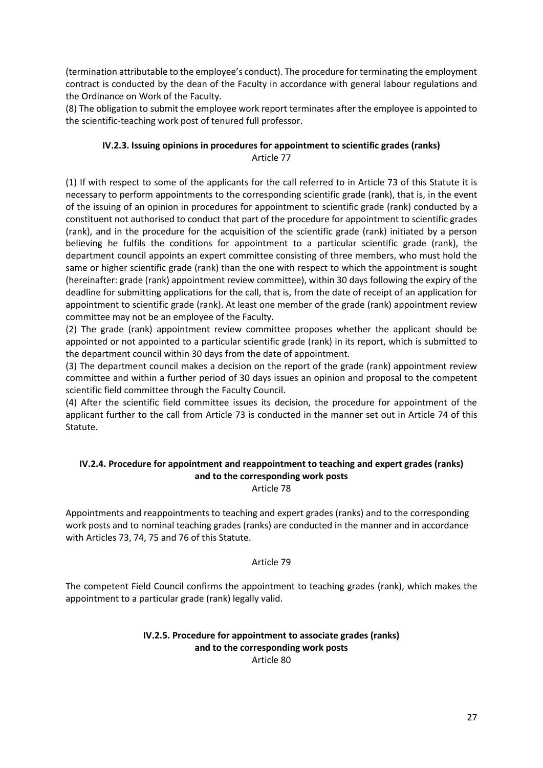(termination attributable to the employee's conduct). The procedure for terminating the employment contract is conducted by the dean of the Faculty in accordance with general labour regulations and the Ordinance on Work of the Faculty.

(8) The obligation to submit the employee work report terminates after the employee is appointed to the scientific-teaching work post of tenured full professor.

## **IV.2.3. Issuing opinions in procedures for appointment to scientific grades (ranks)** Article 77

(1) If with respect to some of the applicants for the call referred to in Article 73 of this Statute it is necessary to perform appointments to the corresponding scientific grade (rank), that is, in the event of the issuing of an opinion in procedures for appointment to scientific grade (rank) conducted by a constituent not authorised to conduct that part of the procedure for appointment to scientific grades (rank), and in the procedure for the acquisition of the scientific grade (rank) initiated by a person believing he fulfils the conditions for appointment to a particular scientific grade (rank), the department council appoints an expert committee consisting of three members, who must hold the same or higher scientific grade (rank) than the one with respect to which the appointment is sought (hereinafter: grade (rank) appointment review committee), within 30 days following the expiry of the deadline for submitting applications for the call, that is, from the date of receipt of an application for appointment to scientific grade (rank). At least one member of the grade (rank) appointment review committee may not be an employee of the Faculty.

(2) The grade (rank) appointment review committee proposes whether the applicant should be appointed or not appointed to a particular scientific grade (rank) in its report, which is submitted to the department council within 30 days from the date of appointment.

(3) The department council makes a decision on the report of the grade (rank) appointment review committee and within a further period of 30 days issues an opinion and proposal to the competent scientific field committee through the Faculty Council.

(4) After the scientific field committee issues its decision, the procedure for appointment of the applicant further to the call from Article 73 is conducted in the manner set out in Article 74 of this Statute.

## **IV.2.4. Procedure for appointment and reappointment to teaching and expert grades (ranks) and to the corresponding work posts**

Article 78

Appointments and reappointments to teaching and expert grades (ranks) and to the corresponding work posts and to nominal teaching grades (ranks) are conducted in the manner and in accordance with Articles 73, 74, 75 and 76 of this Statute.

## Article 79

The competent Field Council confirms the appointment to teaching grades (rank), which makes the appointment to a particular grade (rank) legally valid.

## **IV.2.5. Procedure for appointment to associate grades (ranks) and to the corresponding work posts**

Article 80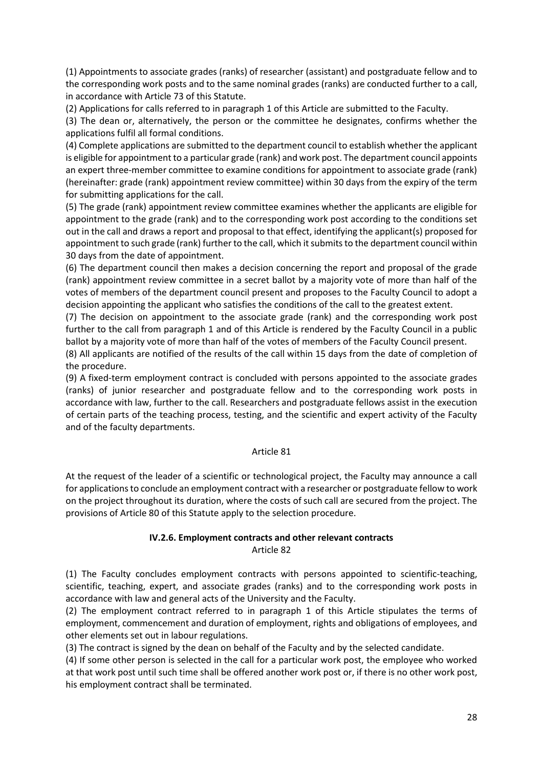(1) Appointments to associate grades (ranks) of researcher (assistant) and postgraduate fellow and to the corresponding work posts and to the same nominal grades (ranks) are conducted further to a call, in accordance with Article 73 of this Statute.

(2) Applications for calls referred to in paragraph 1 of this Article are submitted to the Faculty.

(3) The dean or, alternatively, the person or the committee he designates, confirms whether the applications fulfil all formal conditions.

(4) Complete applications are submitted to the department council to establish whether the applicant is eligible for appointment to a particular grade (rank) and work post. The department council appoints an expert three-member committee to examine conditions for appointment to associate grade (rank) (hereinafter: grade (rank) appointment review committee) within 30 days from the expiry of the term for submitting applications for the call.

(5) The grade (rank) appointment review committee examines whether the applicants are eligible for appointment to the grade (rank) and to the corresponding work post according to the conditions set out in the call and draws a report and proposal to that effect, identifying the applicant(s) proposed for appointment to such grade (rank) further to the call, which it submits to the department council within 30 days from the date of appointment.

(6) The department council then makes a decision concerning the report and proposal of the grade (rank) appointment review committee in a secret ballot by a majority vote of more than half of the votes of members of the department council present and proposes to the Faculty Council to adopt a decision appointing the applicant who satisfies the conditions of the call to the greatest extent.

(7) The decision on appointment to the associate grade (rank) and the corresponding work post further to the call from paragraph 1 and of this Article is rendered by the Faculty Council in a public ballot by a majority vote of more than half of the votes of members of the Faculty Council present.

(8) All applicants are notified of the results of the call within 15 days from the date of completion of the procedure.

(9) A fixed-term employment contract is concluded with persons appointed to the associate grades (ranks) of junior researcher and postgraduate fellow and to the corresponding work posts in accordance with law, further to the call. Researchers and postgraduate fellows assist in the execution of certain parts of the teaching process, testing, and the scientific and expert activity of the Faculty and of the faculty departments.

#### Article 81

At the request of the leader of a scientific or technological project, the Faculty may announce a call for applications to conclude an employment contract with a researcher or postgraduate fellow to work on the project throughout its duration, where the costs of such call are secured from the project. The provisions of Article 80 of this Statute apply to the selection procedure.

#### **IV.2.6. Employment contracts and other relevant contracts**  Article 82

(1) The Faculty concludes employment contracts with persons appointed to scientific-teaching, scientific, teaching, expert, and associate grades (ranks) and to the corresponding work posts in accordance with law and general acts of the University and the Faculty.

(2) The employment contract referred to in paragraph 1 of this Article stipulates the terms of employment, commencement and duration of employment, rights and obligations of employees, and other elements set out in labour regulations.

(3) The contract is signed by the dean on behalf of the Faculty and by the selected candidate.

(4) If some other person is selected in the call for a particular work post, the employee who worked at that work post until such time shall be offered another work post or, if there is no other work post, his employment contract shall be terminated.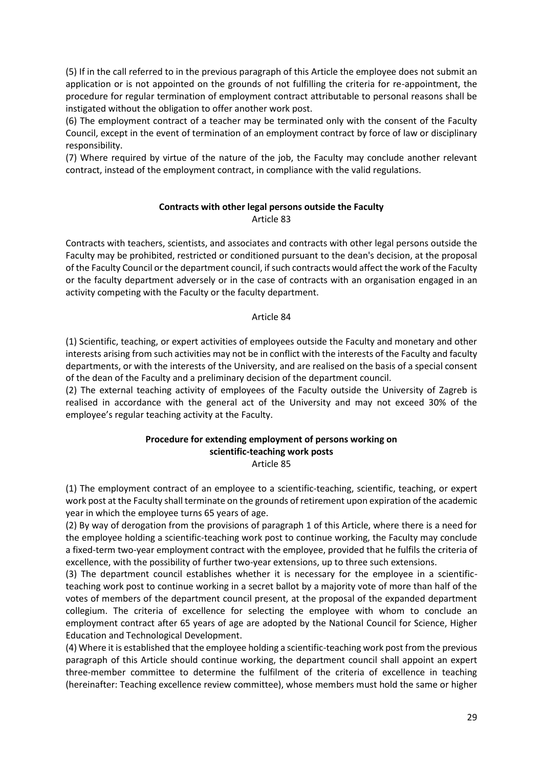(5) If in the call referred to in the previous paragraph of this Article the employee does not submit an application or is not appointed on the grounds of not fulfilling the criteria for re-appointment, the procedure for regular termination of employment contract attributable to personal reasons shall be instigated without the obligation to offer another work post.

(6) The employment contract of a teacher may be terminated only with the consent of the Faculty Council, except in the event of termination of an employment contract by force of law or disciplinary responsibility.

(7) Where required by virtue of the nature of the job, the Faculty may conclude another relevant contract, instead of the employment contract, in compliance with the valid regulations.

#### **Contracts with other legal persons outside the Faculty** Article 83

Contracts with teachers, scientists, and associates and contracts with other legal persons outside the Faculty may be prohibited, restricted or conditioned pursuant to the dean's decision, at the proposal of the Faculty Council or the department council, if such contracts would affect the work of the Faculty or the faculty department adversely or in the case of contracts with an organisation engaged in an activity competing with the Faculty or the faculty department.

#### Article 84

(1) Scientific, teaching, or expert activities of employees outside the Faculty and monetary and other interests arising from such activities may not be in conflict with the interests of the Faculty and faculty departments, or with the interests of the University, and are realised on the basis of a special consent of the dean of the Faculty and a preliminary decision of the department council.

(2) The external teaching activity of employees of the Faculty outside the University of Zagreb is realised in accordance with the general act of the University and may not exceed 30% of the employee's regular teaching activity at the Faculty.

#### **Procedure for extending employment of persons working on scientific-teaching work posts** Article 85

(1) The employment contract of an employee to a scientific-teaching, scientific, teaching, or expert work post at the Faculty shall terminate on the grounds of retirement upon expiration of the academic year in which the employee turns 65 years of age.

(2) By way of derogation from the provisions of paragraph 1 of this Article, where there is a need for the employee holding a scientific-teaching work post to continue working, the Faculty may conclude a fixed-term two-year employment contract with the employee, provided that he fulfils the criteria of excellence, with the possibility of further two-year extensions, up to three such extensions.

(3) The department council establishes whether it is necessary for the employee in a scientificteaching work post to continue working in a secret ballot by a majority vote of more than half of the votes of members of the department council present, at the proposal of the expanded department collegium. The criteria of excellence for selecting the employee with whom to conclude an employment contract after 65 years of age are adopted by the National Council for Science, Higher Education and Technological Development.

(4) Where it is established that the employee holding a scientific-teaching work post from the previous paragraph of this Article should continue working, the department council shall appoint an expert three-member committee to determine the fulfilment of the criteria of excellence in teaching (hereinafter: Teaching excellence review committee), whose members must hold the same or higher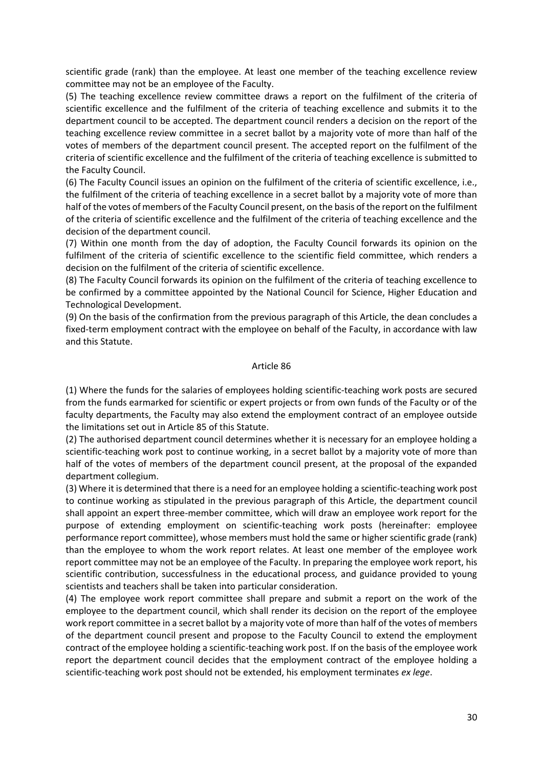scientific grade (rank) than the employee. At least one member of the teaching excellence review committee may not be an employee of the Faculty.

(5) The teaching excellence review committee draws a report on the fulfilment of the criteria of scientific excellence and the fulfilment of the criteria of teaching excellence and submits it to the department council to be accepted. The department council renders a decision on the report of the teaching excellence review committee in a secret ballot by a majority vote of more than half of the votes of members of the department council present. The accepted report on the fulfilment of the criteria of scientific excellence and the fulfilment of the criteria of teaching excellence is submitted to the Faculty Council.

(6) The Faculty Council issues an opinion on the fulfilment of the criteria of scientific excellence, i.e., the fulfilment of the criteria of teaching excellence in a secret ballot by a majority vote of more than half of the votes of members of the Faculty Council present, on the basis of the report on the fulfilment of the criteria of scientific excellence and the fulfilment of the criteria of teaching excellence and the decision of the department council.

(7) Within one month from the day of adoption, the Faculty Council forwards its opinion on the fulfilment of the criteria of scientific excellence to the scientific field committee, which renders a decision on the fulfilment of the criteria of scientific excellence.

(8) The Faculty Council forwards its opinion on the fulfilment of the criteria of teaching excellence to be confirmed by a committee appointed by the National Council for Science, Higher Education and Technological Development.

(9) On the basis of the confirmation from the previous paragraph of this Article, the dean concludes a fixed-term employment contract with the employee on behalf of the Faculty, in accordance with law and this Statute.

#### Article 86

(1) Where the funds for the salaries of employees holding scientific-teaching work posts are secured from the funds earmarked for scientific or expert projects or from own funds of the Faculty or of the faculty departments, the Faculty may also extend the employment contract of an employee outside the limitations set out in Article 85 of this Statute.

(2) The authorised department council determines whether it is necessary for an employee holding a scientific-teaching work post to continue working, in a secret ballot by a majority vote of more than half of the votes of members of the department council present, at the proposal of the expanded department collegium.

(3) Where it is determined that there is a need for an employee holding a scientific-teaching work post to continue working as stipulated in the previous paragraph of this Article, the department council shall appoint an expert three-member committee, which will draw an employee work report for the purpose of extending employment on scientific-teaching work posts (hereinafter: employee performance report committee), whose members must hold the same or higher scientific grade (rank) than the employee to whom the work report relates. At least one member of the employee work report committee may not be an employee of the Faculty. In preparing the employee work report, his scientific contribution, successfulness in the educational process, and guidance provided to young scientists and teachers shall be taken into particular consideration.

(4) The employee work report committee shall prepare and submit a report on the work of the employee to the department council, which shall render its decision on the report of the employee work report committee in a secret ballot by a majority vote of more than half of the votes of members of the department council present and propose to the Faculty Council to extend the employment contract of the employee holding a scientific-teaching work post. If on the basis of the employee work report the department council decides that the employment contract of the employee holding a scientific-teaching work post should not be extended, his employment terminates *ex lege*.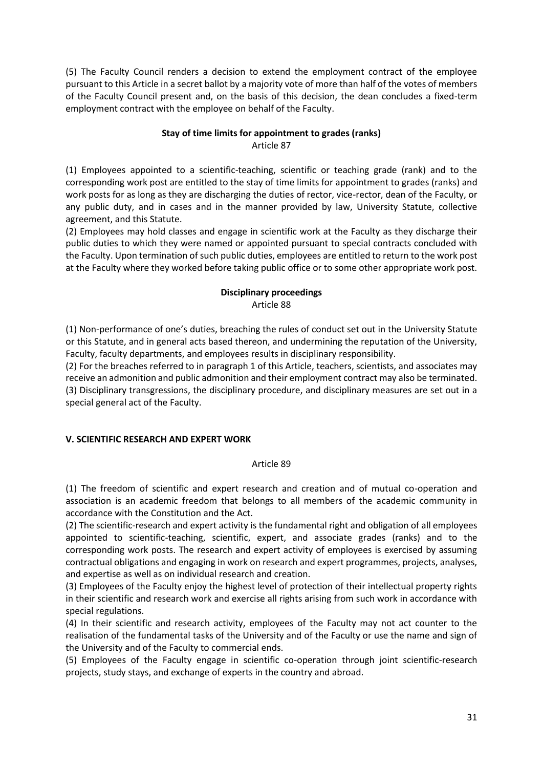(5) The Faculty Council renders a decision to extend the employment contract of the employee pursuant to this Article in a secret ballot by a majority vote of more than half of the votes of members of the Faculty Council present and, on the basis of this decision, the dean concludes a fixed-term employment contract with the employee on behalf of the Faculty.

#### **Stay of time limits for appointment to grades (ranks)** Article 87

(1) Employees appointed to a scientific-teaching, scientific or teaching grade (rank) and to the corresponding work post are entitled to the stay of time limits for appointment to grades (ranks) and work posts for as long as they are discharging the duties of rector, vice-rector, dean of the Faculty, or any public duty, and in cases and in the manner provided by law, University Statute, collective agreement, and this Statute.

(2) Employees may hold classes and engage in scientific work at the Faculty as they discharge their public duties to which they were named or appointed pursuant to special contracts concluded with the Faculty. Upon termination of such public duties, employees are entitled to return to the work post at the Faculty where they worked before taking public office or to some other appropriate work post.

#### **Disciplinary proceedings** Article 88

(1) Non-performance of one's duties, breaching the rules of conduct set out in the University Statute or this Statute, and in general acts based thereon, and undermining the reputation of the University, Faculty, faculty departments, and employees results in disciplinary responsibility.

(2) For the breaches referred to in paragraph 1 of this Article, teachers, scientists, and associates may receive an admonition and public admonition and their employment contract may also be terminated. (3) Disciplinary transgressions, the disciplinary procedure, and disciplinary measures are set out in a special general act of the Faculty.

## **V. SCIENTIFIC RESEARCH AND EXPERT WORK**

## Article 89

(1) The freedom of scientific and expert research and creation and of mutual co-operation and association is an academic freedom that belongs to all members of the academic community in accordance with the Constitution and the Act.

(2) The scientific-research and expert activity is the fundamental right and obligation of all employees appointed to scientific-teaching, scientific, expert, and associate grades (ranks) and to the corresponding work posts. The research and expert activity of employees is exercised by assuming contractual obligations and engaging in work on research and expert programmes, projects, analyses, and expertise as well as on individual research and creation.

(3) Employees of the Faculty enjoy the highest level of protection of their intellectual property rights in their scientific and research work and exercise all rights arising from such work in accordance with special regulations.

(4) In their scientific and research activity, employees of the Faculty may not act counter to the realisation of the fundamental tasks of the University and of the Faculty or use the name and sign of the University and of the Faculty to commercial ends.

(5) Employees of the Faculty engage in scientific co-operation through joint scientific-research projects, study stays, and exchange of experts in the country and abroad.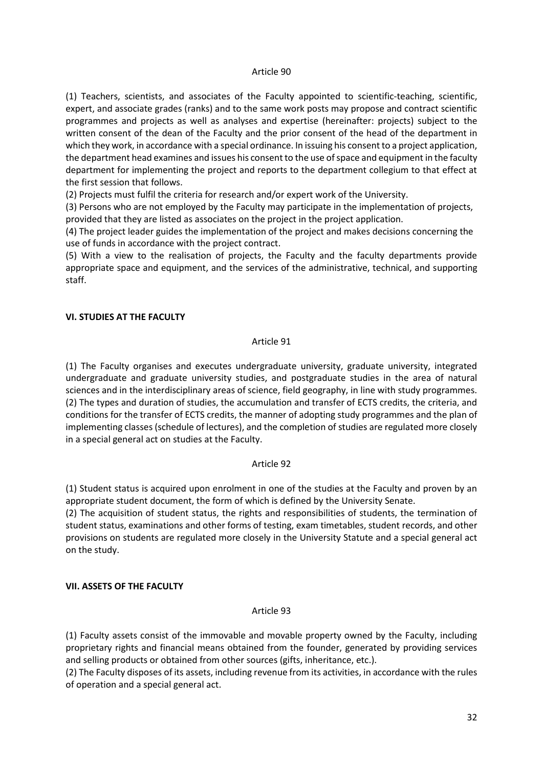(1) Teachers, scientists, and associates of the Faculty appointed to scientific-teaching, scientific, expert, and associate grades (ranks) and to the same work posts may propose and contract scientific programmes and projects as well as analyses and expertise (hereinafter: projects) subject to the written consent of the dean of the Faculty and the prior consent of the head of the department in which they work, in accordance with a special ordinance. In issuing his consent to a project application, the department head examines and issues his consent to the use of space and equipment in the faculty department for implementing the project and reports to the department collegium to that effect at the first session that follows.

(2) Projects must fulfil the criteria for research and/or expert work of the University.

(3) Persons who are not employed by the Faculty may participate in the implementation of projects, provided that they are listed as associates on the project in the project application.

(4) The project leader guides the implementation of the project and makes decisions concerning the use of funds in accordance with the project contract.

(5) With a view to the realisation of projects, the Faculty and the faculty departments provide appropriate space and equipment, and the services of the administrative, technical, and supporting staff.

#### **VI. STUDIES AT THE FACULTY**

#### Article 91

(1) The Faculty organises and executes undergraduate university, graduate university, integrated undergraduate and graduate university studies, and postgraduate studies in the area of natural sciences and in the interdisciplinary areas of science, field geography, in line with study programmes. (2) The types and duration of studies, the accumulation and transfer of ECTS credits, the criteria, and conditions for the transfer of ECTS credits, the manner of adopting study programmes and the plan of implementing classes (schedule of lectures), and the completion of studies are regulated more closely in a special general act on studies at the Faculty.

#### Article 92

(1) Student status is acquired upon enrolment in one of the studies at the Faculty and proven by an appropriate student document, the form of which is defined by the University Senate.

(2) The acquisition of student status, the rights and responsibilities of students, the termination of student status, examinations and other forms of testing, exam timetables, student records, and other provisions on students are regulated more closely in the University Statute and a special general act on the study.

#### **VII. ASSETS OF THE FACULTY**

#### Article 93

(1) Faculty assets consist of the immovable and movable property owned by the Faculty, including proprietary rights and financial means obtained from the founder, generated by providing services and selling products or obtained from other sources (gifts, inheritance, etc.).

(2) The Faculty disposes of its assets, including revenue from its activities, in accordance with the rules of operation and a special general act.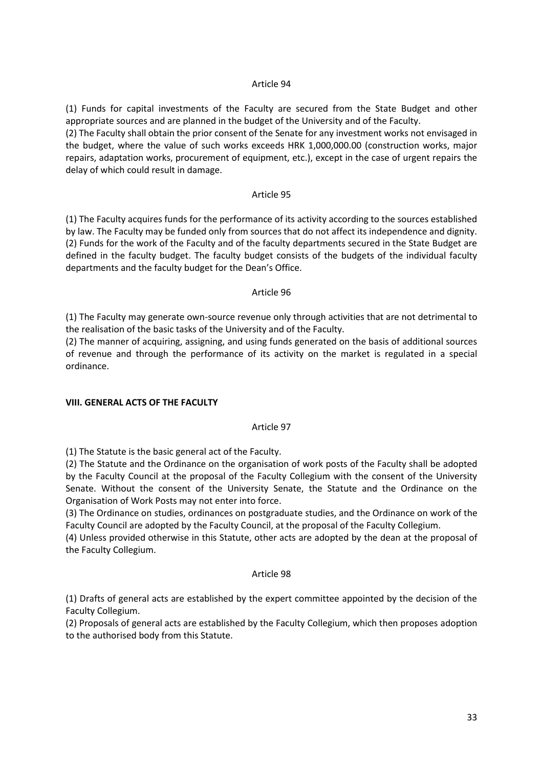(1) Funds for capital investments of the Faculty are secured from the State Budget and other appropriate sources and are planned in the budget of the University and of the Faculty.

(2) The Faculty shall obtain the prior consent of the Senate for any investment works not envisaged in the budget, where the value of such works exceeds HRK 1,000,000.00 (construction works, major repairs, adaptation works, procurement of equipment, etc.), except in the case of urgent repairs the delay of which could result in damage.

#### Article 95

(1) The Faculty acquires funds for the performance of its activity according to the sources established by law. The Faculty may be funded only from sources that do not affect its independence and dignity. (2) Funds for the work of the Faculty and of the faculty departments secured in the State Budget are defined in the faculty budget. The faculty budget consists of the budgets of the individual faculty departments and the faculty budget for the Dean's Office.

#### Article 96

(1) The Faculty may generate own-source revenue only through activities that are not detrimental to the realisation of the basic tasks of the University and of the Faculty.

(2) The manner of acquiring, assigning, and using funds generated on the basis of additional sources of revenue and through the performance of its activity on the market is regulated in a special ordinance.

#### **VIII. GENERAL ACTS OF THE FACULTY**

#### Article 97

(1) The Statute is the basic general act of the Faculty.

(2) The Statute and the Ordinance on the organisation of work posts of the Faculty shall be adopted by the Faculty Council at the proposal of the Faculty Collegium with the consent of the University Senate. Without the consent of the University Senate, the Statute and the Ordinance on the Organisation of Work Posts may not enter into force.

(3) The Ordinance on studies, ordinances on postgraduate studies, and the Ordinance on work of the Faculty Council are adopted by the Faculty Council, at the proposal of the Faculty Collegium.

(4) Unless provided otherwise in this Statute, other acts are adopted by the dean at the proposal of the Faculty Collegium.

#### Article 98

(1) Drafts of general acts are established by the expert committee appointed by the decision of the Faculty Collegium.

(2) Proposals of general acts are established by the Faculty Collegium, which then proposes adoption to the authorised body from this Statute.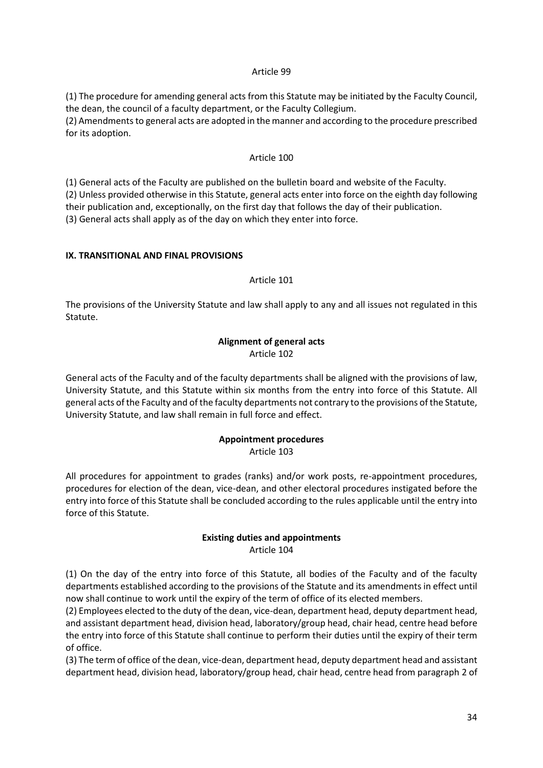(1) The procedure for amending general acts from this Statute may be initiated by the Faculty Council, the dean, the council of a faculty department, or the Faculty Collegium.

(2) Amendments to general acts are adopted in the manner and according to the procedure prescribed for its adoption.

#### Article 100

(1) General acts of the Faculty are published on the bulletin board and website of the Faculty. (2) Unless provided otherwise in this Statute, general acts enter into force on the eighth day following their publication and, exceptionally, on the first day that follows the day of their publication. (3) General acts shall apply as of the day on which they enter into force.

#### **IX. TRANSITIONAL AND FINAL PROVISIONS**

#### Article 101

The provisions of the University Statute and law shall apply to any and all issues not regulated in this Statute.

#### **Alignment of general acts** Article 102

General acts of the Faculty and of the faculty departments shall be aligned with the provisions of law, University Statute, and this Statute within six months from the entry into force of this Statute. All general acts of the Faculty and of the faculty departments not contrary to the provisions of the Statute, University Statute, and law shall remain in full force and effect.

# **Appointment procedures**

Article 103

All procedures for appointment to grades (ranks) and/or work posts, re-appointment procedures, procedures for election of the dean, vice-dean, and other electoral procedures instigated before the entry into force of this Statute shall be concluded according to the rules applicable until the entry into force of this Statute.

## **Existing duties and appointments**

Article 104

(1) On the day of the entry into force of this Statute, all bodies of the Faculty and of the faculty departments established according to the provisions of the Statute and its amendments in effect until now shall continue to work until the expiry of the term of office of its elected members.

(2) Employees elected to the duty of the dean, vice-dean, department head, deputy department head, and assistant department head, division head, laboratory/group head, chair head, centre head before the entry into force of this Statute shall continue to perform their duties until the expiry of their term of office.

(3) The term of office of the dean, vice-dean, department head, deputy department head and assistant department head, division head, laboratory/group head, chair head, centre head from paragraph 2 of